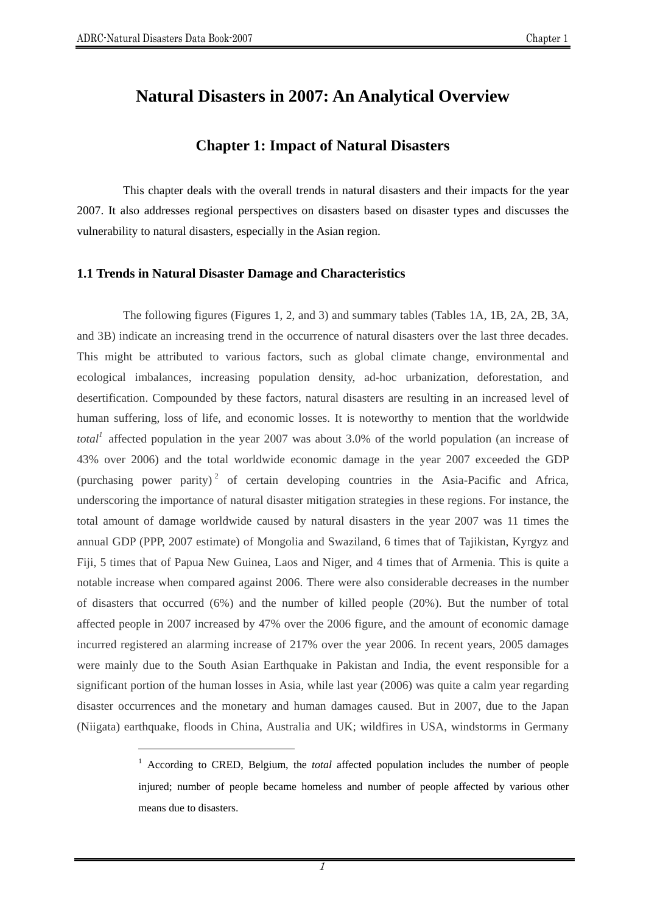$\overline{a}$ 

# **Natural Disasters in 2007: An Analytical Overview**

# **Chapter 1: Impact of Natural Disasters**

This chapter deals with the overall trends in natural disasters and their impacts for the year 2007. It also addresses regional perspectives on disasters based on disaster types and discusses the vulnerability to natural disasters, especially in the Asian region.

#### **1.1 Trends in Natural Disaster Damage and Characteristics**

The following figures (Figures 1, 2, and 3) and summary tables (Tables 1A, 1B, 2A, 2B, 3A, and 3B) indicate an increasing trend in the occurrence of natural disasters over the last three decades. This might be attributed to various factors, such as global climate change, environmental and ecological imbalances, increasing population density, ad-hoc urbanization, deforestation, and desertification. Compounded by these factors, natural disasters are resulting in an increased level of human suffering, loss of life, and economic losses. It is noteworthy to mention that the worldwide *total*<sup>1</sup> affected population in the year 2007 was about 3.0% of the world population (an increase of 43% over 2006) and the total worldwide economic damage in the year 2007 exceeded the GDP (purchasing power parity)<sup>2</sup> of certain developing countries in the Asia-Pacific and Africa, underscoring the importance of natural disaster mitigation strategies in these regions. For instance, the total amount of damage worldwide caused by natural disasters in the year 2007 was 11 times the annual GDP (PPP, 2007 estimate) of Mongolia and Swaziland, 6 times that of Tajikistan, Kyrgyz and Fiji, 5 times that of Papua New Guinea, Laos and Niger, and 4 times that of Armenia. This is quite a notable increase when compared against 2006. There were also considerable decreases in the number of disasters that occurred (6%) and the number of killed people (20%). But the number of total affected people in 2007 increased by 47% over the 2006 figure, and the amount of economic damage incurred registered an alarming increase of 217% over the year 2006. In recent years, 2005 damages were mainly due to the South Asian Earthquake in Pakistan and India, the event responsible for a significant portion of the human losses in Asia, while last year (2006) was quite a calm year regarding disaster occurrences and the monetary and human damages caused. But in 2007, due to the Japan (Niigata) earthquake, floods in China, Australia and UK; wildfires in USA, windstorms in Germany

<sup>&</sup>lt;sup>1</sup> According to CRED, Belgium, the *total* affected population includes the number of people injured; number of people became homeless and number of people affected by various other means due to disasters.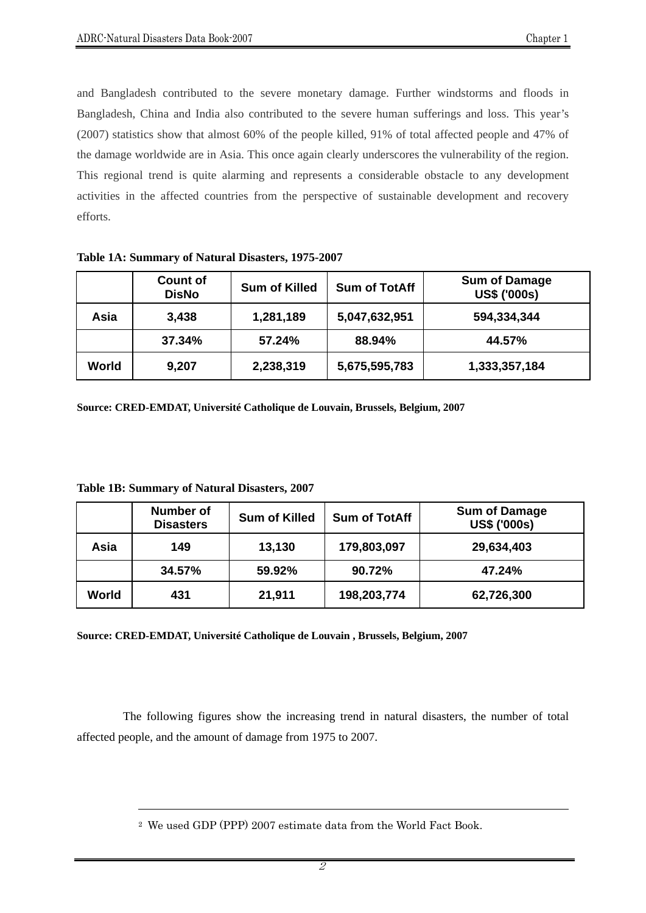and Bangladesh contributed to the severe monetary damage. Further windstorms and floods in Bangladesh, China and India also contributed to the severe human sufferings and loss. This year's (2007) statistics show that almost 60% of the people killed, 91% of total affected people and 47% of the damage worldwide are in Asia. This once again clearly underscores the vulnerability of the region. This regional trend is quite alarming and represents a considerable obstacle to any development activities in the affected countries from the perspective of sustainable development and recovery efforts.

|       | <b>Count of</b><br><b>DisNo</b> | <b>Sum of Killed</b> | <b>Sum of TotAff</b> | <b>Sum of Damage</b><br><b>US\$ ('000s)</b> |
|-------|---------------------------------|----------------------|----------------------|---------------------------------------------|
| Asia  | 3,438                           | 1,281,189            | 5,047,632,951        | 594,334,344                                 |
|       | 37.34%                          | 57.24%               | 88.94%               | 44.57%                                      |
| World | 9,207                           | 2,238,319            | 5,675,595,783        | 1,333,357,184                               |

**Table 1A: Summary of Natural Disasters, 1975-2007** 

**Source: CRED-EMDAT, Université Catholique de Louvain, Brussels, Belgium, 2007** 

|       | <b>Number of</b><br><b>Disasters</b> | <b>Sum of Killed</b> | <b>Sum of TotAff</b> | <b>Sum of Damage</b><br><b>US\$ ('000s)</b> |
|-------|--------------------------------------|----------------------|----------------------|---------------------------------------------|
| Asia  | 149                                  | 13,130               | 179,803,097          | 29,634,403                                  |
|       | 34.57%                               | 59.92%               | 90.72%               | 47.24%                                      |
| World | 431                                  | 21,911               | 198,203,774          | 62,726,300                                  |

**Table 1B: Summary of Natural Disasters, 2007** 

 $\overline{a}$ 

**Source: CRED-EMDAT, Université Catholique de Louvain , Brussels, Belgium, 2007** 

The following figures show the increasing trend in natural disasters, the number of total affected people, and the amount of damage from 1975 to 2007.

<sup>2</sup> We used GDP (PPP) 2007 estimate data from the World Fact Book.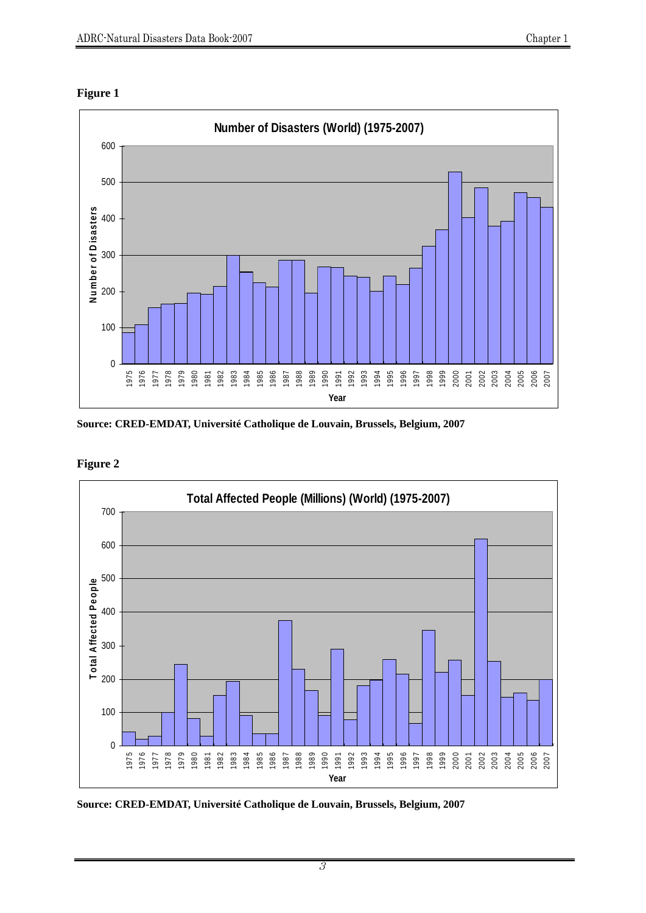



**Source: CRED-EMDAT, Université Catholique de Louvain, Brussels, Belgium, 2007** 



**Figure 2** 

**Source: CRED-EMDAT, Université Catholique de Louvain, Brussels, Belgium, 2007**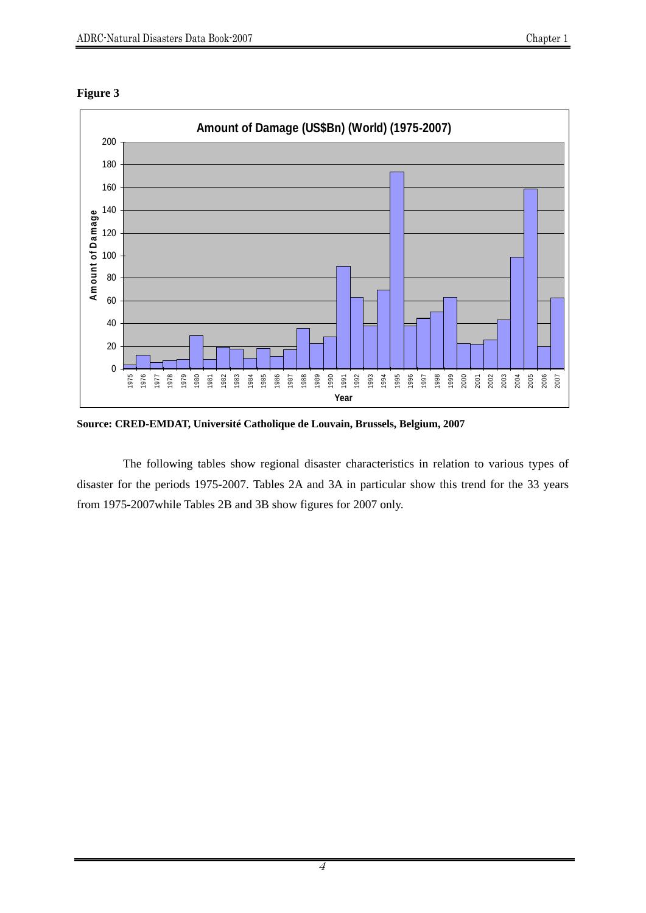



**Source: CRED-EMDAT, Université Catholique de Louvain, Brussels, Belgium, 2007** 

The following tables show regional disaster characteristics in relation to various types of disaster for the periods 1975-2007. Tables 2A and 3A in particular show this trend for the 33 years from 1975-2007while Tables 2B and 3B show figures for 2007 only.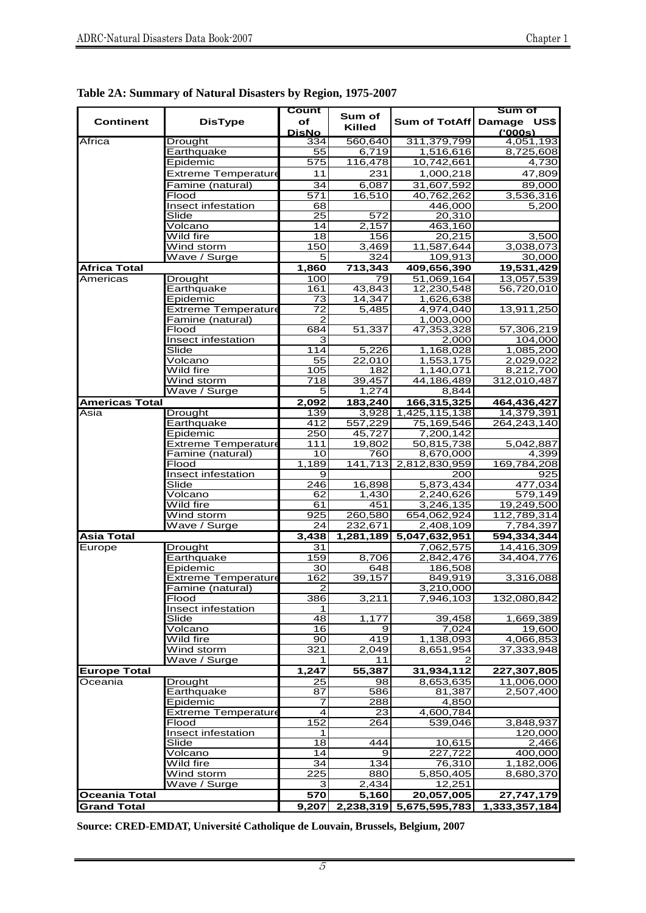| <b>Continent</b>      | <b>DisType</b>                                 | Count<br>оf            | Sum of              |                         | Sum of<br>Sum of TotAff Damage US\$ |
|-----------------------|------------------------------------------------|------------------------|---------------------|-------------------------|-------------------------------------|
|                       |                                                | <b>DisNo</b>           | <b>Killed</b>       |                         | (000s)                              |
| Africa                | <b>Drought</b>                                 | 334                    | 560,640             | 311,379,799             | 4,051,193                           |
|                       | Earthquake<br>Epidemic                         | 55                     | 6,719<br>116,478    | 1,516,616<br>10,742,661 | 8,725,608                           |
|                       | <b>Extreme Temperature</b>                     | 575<br>11              | 231                 | 1,000,218               | 4,730<br>47,809                     |
|                       | Famine (natural)                               | 34                     | 6,087               | 31,607,592              | 89,000                              |
|                       | Flood                                          | 571                    | 16,510              | 40,762,262              | 3,536,316                           |
|                       | Insect infestation                             | 68                     |                     | 446,000                 | 5,200                               |
|                       | Slide                                          | 25                     | 572                 | 20,310                  |                                     |
|                       | Volcano                                        | 14                     | 2,157               | 463,160                 |                                     |
|                       | Wild fire                                      | 18                     | 156                 | 20,215                  | 3,500                               |
|                       | Wind storm<br>Wave / Surge                     | 150<br>5               | 3,469<br>324        | 11,587,644<br>109,913   | 3,038,073<br>30,000                 |
| <b>Africa Total</b>   |                                                | 1,860                  | 713,343             | 409,656,390             | 19,531,429                          |
| Americas              | Drought                                        | 100                    | 79                  | 51,069,164              | 13,057,539                          |
|                       | Earthquake                                     | 161                    | 43,843              | 12,230,548              | 56,720,010                          |
|                       | Epidemic                                       | 73                     | 14,347              | 1,626,638               |                                     |
|                       | <b>Extreme Temperature</b>                     | 72                     | 5,485               | 4,974,040               | 13,911,250                          |
|                       | Famine (natural)                               | $\mathbf{2}$           |                     | 1,003,000               |                                     |
|                       | Flood                                          | 684                    | 51,337              | 47,353,328              | 57,306,219                          |
|                       | Insect infestation<br>Slide                    | 3<br>114               | 5,226               | 2,000                   | 104,000<br>1,085,200                |
|                       | Volcano                                        | 55                     | $\overline{22,010}$ | 1,168,028<br>1,553,175  | 2,029,022                           |
|                       | Wild fire                                      | 105                    | 182                 | 1,140,071               | 8,212,700                           |
|                       | Wind storm                                     | 718                    | 39,457              | 44,186,489              | 312,010,487                         |
|                       | Wave / Surge                                   | 5                      | 1,274               | 8,844                   |                                     |
| <b>Americas Total</b> |                                                | 2,092                  | 183,240             | 166,315,325             | 464,436,427                         |
| Asia                  | <b>Drought</b>                                 | 139                    | 3,928               | 1,425,115,138           | 14,379,391                          |
|                       | Earthquake                                     | 412                    | 557,229             | 75,169,546              | 264,243,140                         |
|                       | Epidemic                                       | 250                    | 45,727              | 7,200,142               |                                     |
|                       | <b>Extreme Temperature</b><br>Famine (natural) | 111<br>10              | 19,802<br>760       | 50,815,738<br>8,670,000 | 5,042,887<br>4,399                  |
|                       | Flood                                          | 1,189                  | 141.713             | 2,812,830,959           | 169,784,208                         |
|                       | <b>Insect infestation</b>                      | 9                      |                     | 200                     | 925                                 |
|                       | Slide                                          | 246                    | 16,898              | 5,873,434               | 477,034                             |
|                       | Volcano                                        | 62                     | 1,430               | 2,240,626               | 579,149                             |
|                       | Wild fire                                      | 61                     | 451                 | 3,246,135               | 19,249,500                          |
|                       | Wind storm                                     | 925                    | 260,580             | 654,062,924             | 112,789,314                         |
|                       | Wave / Surge                                   | 24                     | 232,671             | 2,408,109               | 7,784,397                           |
| <b>Asia Total</b>     |                                                | 3,438                  |                     | 1,281,189 5,047,632,951 | 594,334,344                         |
| Europe                | <b>Drought</b><br>Earthquake                   | 31<br>$\overline{159}$ | 8,706               | 7,062,575<br>2,842,476  | 14,416,309<br>34,404,776            |
|                       | Epidemic                                       | 30                     | 648                 | 186,508                 |                                     |
|                       | <b>Extreme Temperature</b>                     | 162                    | 39,157              | 849,919                 | 3,316,088                           |
|                       | Famine (natural)                               | $\mathcal{P}$          |                     | 3,210,000               |                                     |
|                       | Flood                                          | 386                    | 3,211               | 7,946,103               | 132,080,842                         |
|                       | Insect infestation                             | $\mathbf{1}$           |                     |                         |                                     |
|                       | Slide                                          | 48                     | 1,177               | 39,458                  | 1,669,389                           |
|                       | Volcano                                        | 16<br>90               | 9                   | 7,024                   | 19,600                              |
|                       | Wild fire<br>Wind storm                        | 321                    | 419<br>2,049        | 1,138,093<br>8,651,954  | 4,066,853<br>37,333,948             |
|                       | Wave / Surge                                   | 1                      | 11                  | 2                       |                                     |
| <b>Europe Total</b>   |                                                | 1,247                  | 55,387              | 31,934,112              | 227,307,805                         |
| Oceania               | <b>Drought</b>                                 | 25                     | 98                  | 8,653,635               | 11,006,000                          |
|                       | Earthquake                                     | 87                     | 586                 | 81,387                  | 2,507,400                           |
|                       | Epidemic                                       | 7                      | 288                 | 4,850                   |                                     |
|                       | <b>Extreme Temperature</b>                     | $\overline{4}$         | 23                  | 4,600,784               |                                     |
|                       | Flood                                          | 152                    | 264                 | 539,046                 | 3,848,937                           |
|                       | Insect infestation                             | $\mathbf{1}$           | 444                 |                         | 120,000                             |
|                       | Slide<br>Vol <u>cano</u>                       | 18<br>14               | 9                   | 10,615<br>227,722       | 2,466<br>400,000                    |
|                       | Wild fire                                      | 34                     | 134                 | 76,310                  | 1,182,006                           |
|                       | Wind storm                                     | 225                    | 880                 | 5,850,405               | 8,680,370                           |
|                       | Wave / Surge                                   | 3                      | 2,434               | 12,251                  |                                     |
| <b>Oceania Total</b>  |                                                | 570                    | 5,160               | 20,057,005              | 27,747,179                          |
| <b>Grand Total</b>    |                                                | 9,207                  |                     | 2,238,319 5,675,595,783 | 1,333,357,184                       |

|  |  |  | Table 2A: Summary of Natural Disasters by Region, 1975-2007 |
|--|--|--|-------------------------------------------------------------|
|  |  |  |                                                             |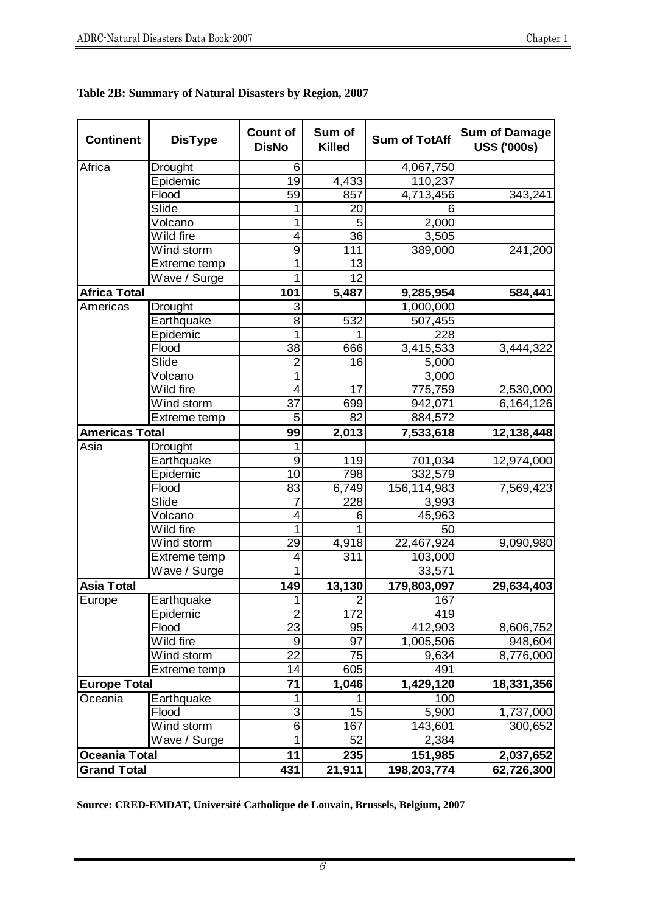| <b>Continent</b>      | <b>DisType</b> | <b>Count of</b><br><b>DisNo</b> | Sum of<br><b>Killed</b> | <b>Sum of TotAff</b>   | <b>Sum of Damage</b><br><b>US\$ ('000s)</b> |
|-----------------------|----------------|---------------------------------|-------------------------|------------------------|---------------------------------------------|
| Africa                | Drought        | 6                               |                         | 4,067,750              |                                             |
|                       | Epidemic       | 19                              | 4,433                   | 110,237                |                                             |
|                       | Flood          | 59                              | 857                     | 4,713,456              | 343,241                                     |
|                       | Slide          | 1                               | $\overline{2}0$         | 6                      |                                             |
|                       | Volcano        | 1                               | 5                       | 2,000                  |                                             |
|                       | Wild fire      | 4                               | 36                      | 3,505                  |                                             |
|                       | Wind storm     | 9                               | 111                     | 389,000                | 241,200                                     |
|                       | Extreme temp   | 1                               | 13                      |                        |                                             |
|                       | Wave / Surge   | 1                               | 12                      |                        |                                             |
| <b>Africa Total</b>   |                | 101                             | 5,487                   | 9,285,954              | 584,441                                     |
| Americas              | Drought        | 3                               |                         | 1,000,000              |                                             |
|                       | Earthquake     | 8                               | 532                     | 507,455                |                                             |
|                       | Epidemic       | 1                               | 1                       | 228                    |                                             |
|                       | Flood          | 38                              | 666                     | 3,415,533              | 3,444,322                                   |
|                       | Slide          | $\overline{2}$                  | 16                      | 5,000                  |                                             |
|                       | Volcano        | 1                               |                         | 3,000                  |                                             |
|                       | Wild fire      | 4                               | 17                      | 775,759                | 2,530,000                                   |
|                       | Wind storm     | 37                              | 699                     | 942,071                | 6,164,126                                   |
|                       | Extreme temp   | 5                               | 82                      | 884,572                |                                             |
| <b>Americas Total</b> |                | 99                              | 2,013                   | 7,533,618              | 12,138,448                                  |
| Asia                  | Drought        | 1                               |                         |                        |                                             |
|                       | Earthquake     | $\boldsymbol{9}$                | 119                     | 701,034                | 12,974,000                                  |
|                       | Epidemic       | 10                              | 798                     | 332,579                |                                             |
|                       | Flood          | 83                              | 6,749                   | 156,114,983            | 7,569,423                                   |
|                       | Slide          | 7                               | 228                     | 3,993                  |                                             |
|                       | Volcano        | 4                               | 6                       | 45,963                 |                                             |
|                       | Wild fire      | $\mathbf{1}$                    | 1                       | 50                     |                                             |
|                       | Wind storm     | 29                              | 4,918                   | 22,467,924             | 9,090,980                                   |
|                       | Extreme temp   | 4                               | 311                     | 103,000                |                                             |
|                       | Wave / Surge   | 1                               |                         | 33,571                 |                                             |
| <b>Asia Total</b>     |                | 149                             | 13,130                  | 179,803,097            | 29,634,403                                  |
| Europe                | Earthquake     | $\overline{1}$                  | $\overline{2}$          | 167                    |                                             |
|                       | Epidemic       | $\overline{2}$                  | 172                     | 419                    |                                             |
|                       | Flood          | 23                              | 95                      | 412,903                | 8,606,752                                   |
|                       | Wild fire      | 9                               | 97                      | 1,005,506              | 948,604                                     |
|                       | Wind storm     | $\overline{22}$                 | 75                      | 9,634                  | 8,776,000                                   |
|                       | Extreme temp   | 14                              | 605                     | 491                    |                                             |
| <b>Europe Total</b>   |                | 71                              | 1,046                   | $\overline{1,}429,120$ | 18,331,356                                  |
| Oceania               | Earthquake     | 1                               |                         | 100                    |                                             |
|                       | Flood          | 3                               | 15                      | 5,900                  | 1,737,000                                   |
|                       | Wind storm     | $\overline{6}$                  | 167                     | 143,601                | 300,652                                     |
|                       | Wave / Surge   | 1                               | 52                      | 2,384                  |                                             |
| <b>Oceania Total</b>  |                | 11                              | 235                     | 151,985                | 2,037,652                                   |
| <b>Grand Total</b>    |                | 431                             | 21,911                  | 198,203,774            | 62,726,300                                  |

| Table 2B: Summary of Natural Disasters by Region, 2007 |  |  |
|--------------------------------------------------------|--|--|
|                                                        |  |  |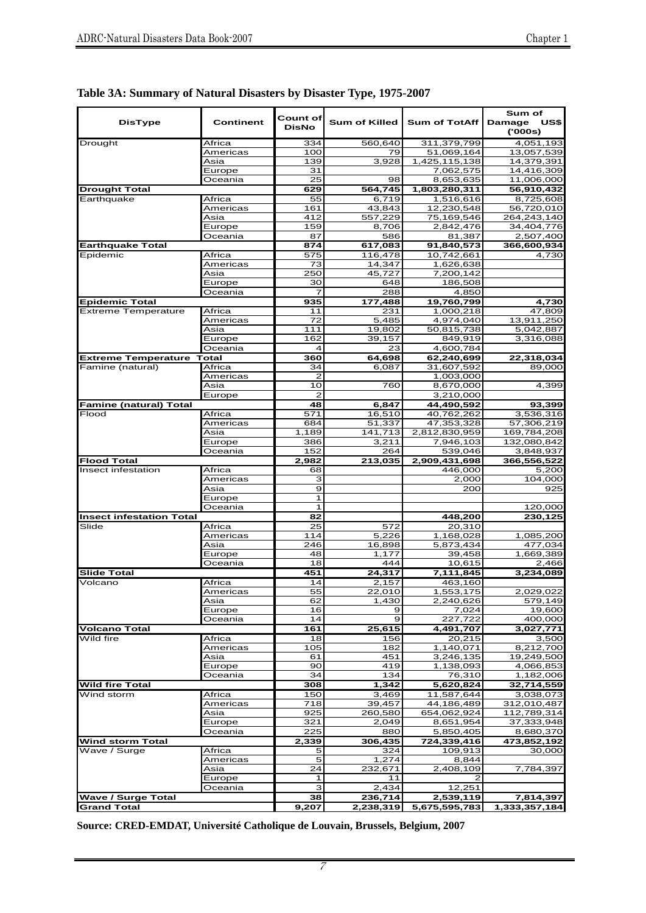| <b>DisType</b>                           | Continent         | Count of<br><b>DisNo</b> | <b>Sum of Killed</b> | <b>Sum of TotAff</b>   | Sum of<br>Damage<br>US\$<br>(000s) |
|------------------------------------------|-------------------|--------------------------|----------------------|------------------------|------------------------------------|
| Drought                                  | Africa            | 334                      | 560,640              | 311,379,799            | 4,051,193                          |
|                                          | Americas          | 100                      | 79                   | 51,069,164             | 13,057,539                         |
|                                          | Asia              | 139                      | 3,928                | 1,425,115,138          | 14,379,391                         |
|                                          | Europe            | 31                       |                      | 7,062,575              | 14,416,309                         |
|                                          | Oceania           | 25                       | 98                   | 8,653,635              | 11,006,000                         |
| <b>Drought Total</b>                     |                   | 629                      | 564,745              | 1,803,280,311          | 56,910,432                         |
| Earthquake                               | Africa            | 55                       | 6,719                | 1,516,616              | 8,725,608                          |
|                                          | Americas          | 161                      | 43,843               | 12,230,548             | 56,720,010                         |
|                                          | Asia              | 412                      | 557,229              | 75,169,546             | 264,243,140                        |
|                                          | Europe            | 159                      | 8,706                | 2,842,476              | 34,404,776                         |
|                                          | Oceania           | 87                       | 586                  | 81,387                 | 2,507,400                          |
| <b>Earthquake Total</b>                  |                   | 874                      | 617.083              | 91,840,573             | 366,600,934                        |
| Epidemic                                 | Africa            | 575                      | 116,478              | 10,742,661             | 4.730                              |
|                                          | Americas          | 73                       | 14,347               | 1,626,638              |                                    |
|                                          | Asia              | 250                      | 45,727               | 7,200,142              |                                    |
|                                          | Europe            | 30                       | 648                  | 186,508                |                                    |
|                                          | Oceania           | 7                        | 288                  | 4,850                  |                                    |
| <b>Epidemic Total</b>                    |                   | 935                      | 177,488              | 19,760,799             | 4,730                              |
| <b>Extreme Temperature</b>               | Africa            | 11                       | 231                  | 1,000,218              | 47,809                             |
|                                          | Americas          | 72                       | 5.485                | 4,974,040              | 13,911,250                         |
|                                          | Asia              | 111                      | 19,802               | 50,815,738             | 5,042,887                          |
|                                          | Europe            | 162                      | 39,157               | 849,919                | 3,316,088                          |
|                                          | Oceania           | 4                        | 23                   | 4,600,784              |                                    |
| <b>Extreme Temperature</b>               | <b>Total</b>      | 360                      | 64,698               | 62,240,699             | 22,318,034                         |
| Famine (natural)                         | Africa            | 34                       | 6,087                | 31,607,592             | 89,000                             |
|                                          | Americas          | 2                        |                      | 1,003,000              |                                    |
|                                          | Asia              | 10                       | 760                  | 8,670,000              | 4,399                              |
|                                          | Europe            | $\overline{2}$           |                      | 3,210,000              |                                    |
| <b>Famine (natural) Total</b>            |                   | 48                       | 6,847                | 44,490,592             | 93,399                             |
| Flood                                    | Africa            | 571                      | 16,510               | 40,762,262             | 3,536,316                          |
|                                          | Americas          | 684                      | 51,337               | 47,353,328             | 57,306,219                         |
|                                          | Asia              | 1,189                    | 141,713              | 2,812,830,959          | 169,784,208                        |
|                                          | Europe            | 386                      | 3,211                | 7,946,103              | 132,080,842                        |
|                                          | Oceania           | 152                      | 264                  | 539,046                | 3,848,937                          |
| <b>Flood Total</b>                       |                   | 2,982                    | 213,035              | 2,909,431,698          | 366,556,522                        |
| Insect infestation                       | Africa            | 68                       |                      | 446,000                | 5,200                              |
|                                          | Americas          | з                        |                      | 2,000                  | 104,000                            |
|                                          | Asia              | 9                        |                      | 200                    | 925                                |
|                                          | Europe            | $\mathbf{1}$             |                      |                        |                                    |
|                                          | Oceania           | $\mathbf{1}$             |                      |                        | 120,000                            |
| <b>Insect infestation Total</b><br>Slide |                   | 82                       |                      | 448,200                | 230,125                            |
|                                          | Africa            | 25                       | 572<br>5,226         | 20,310                 |                                    |
|                                          | Americas<br>Asia  | 114<br>246               | 16,898               | 1,168,028<br>5,873,434 | 1,085,200<br>477,034               |
|                                          |                   | 48                       | 1,177                | 39,458                 | 1,669,389                          |
|                                          | Europe<br>Oceania | 18                       | 444                  | 10,615                 | 2,466                              |
| <b>Slide Total</b>                       |                   | 451                      | 24,317               | 7,111,845              | 3,234,089                          |
| Volcano                                  | Africa            | 14                       | 2,157                | 463,160                |                                    |
|                                          | Americas          | 55                       | 22,010               | 1,553,175              | 2,029,022                          |
|                                          | Asia              | 62                       | 1,430                | 2,240,626              | 579,149                            |
|                                          | Europe            | 16                       | 9                    | 7,024                  | 19,600                             |
|                                          | Oceania           | 14                       | 9                    | 227,722                | 400,000                            |
| <b>Volcano Total</b>                     |                   | 161                      | 25,615               | 4,491,707              | 3,027,771                          |
| Wild fire                                | Africa            | 18                       | 156                  | 20,215                 | 3,500                              |
|                                          | Americas          | 105                      | 182                  | 1,140,071              | 8,212,700                          |
|                                          | Asia              | 61                       | 451                  | 3,246,135              | 19,249,500                         |
|                                          | Europe            | 90                       | 419                  | 1,138,093              | 4,066,853                          |
|                                          | Oceania           | 34                       | 134                  | 76,310                 | 1,182,006                          |
| <b>Wild fire Total</b>                   |                   | 308                      | 1,342                | 5,620,824              | 32,714,559                         |
| Wind storm                               | Africa            | 150                      | 3,469                | 11,587,644             | 3,038,073                          |
|                                          | Americas          | 718                      | 39,457               | 44,186,489             | 312,010,487                        |
|                                          | Asia              | 925                      | 260,580              | 654,062,924            | 112,789,314                        |
|                                          | Europe            | 321                      | 2,049                | 8,651,954              | 37,333,948                         |
|                                          | Oceania           | 225                      | 880                  | 5,850,405              | 8,680,370                          |
| <b>Wind storm Total</b>                  |                   | 2,339                    | 306,435              | 724,339,416            | 473,852,192                        |
| Wave / Surge                             | Africa            | 5                        | 324                  | 109,913                | 30,000                             |
|                                          | Americas          | 5                        | 1,274                | 8,844                  |                                    |
|                                          | Asia              | 24                       | 232,671              | 2,408,109              | 7,784,397                          |
|                                          | Europe            | 1                        | 11                   | 2                      |                                    |
|                                          | Oceania           | З                        | 2,434                | 12,251                 |                                    |
| <b>Wave / Surge Total</b>                |                   | 38                       | 236,714              | 2,539,119              | 7,814,397                          |
| <b>Grand Total</b>                       |                   | 9,207                    | 2,238,319            | 5,675,595,783          | 1,333,357,184                      |

**Table 3A: Summary of Natural Disasters by Disaster Type, 1975-2007**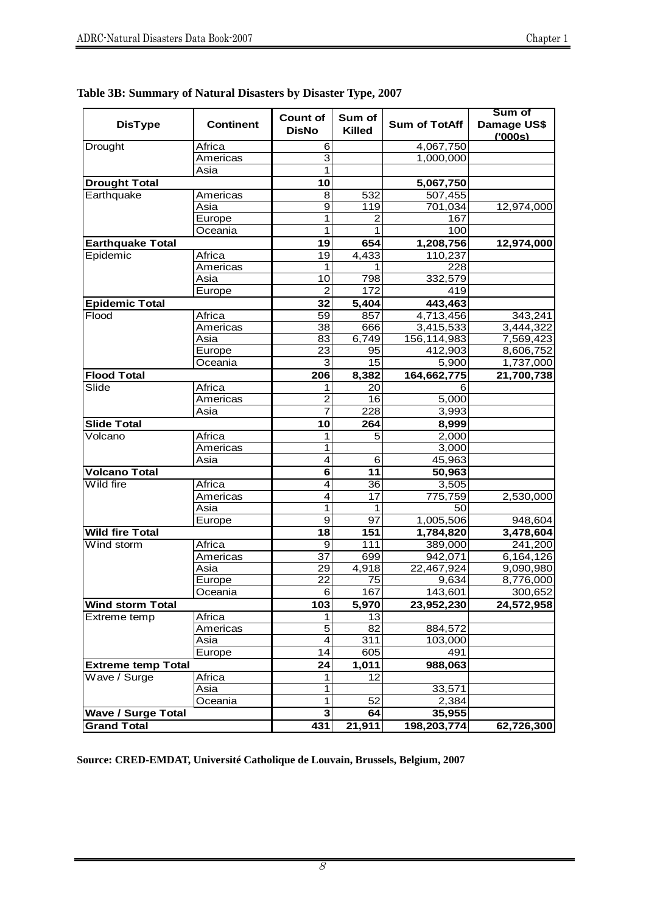| <b>DisType</b>            | <b>Continent</b> | <b>Count of</b><br><b>DisNo</b> | Sum of<br><b>Killed</b> | <b>Sum of TotAff</b> | Sum of<br>Damage US\$<br>(000s) |
|---------------------------|------------------|---------------------------------|-------------------------|----------------------|---------------------------------|
| Drought                   | Africa           | 6                               |                         | 4,067,750            |                                 |
|                           | Americas         | 3                               |                         | 1,000,000            |                                 |
|                           | Asia             | 1                               |                         |                      |                                 |
| <b>Drought Total</b>      |                  | 10                              |                         | 5,067,750            |                                 |
| Earthquake                | Americas         | 8                               | 532                     | 507,455              |                                 |
|                           | Asia             | 9                               | 119                     | 701,034              | 12,974,000                      |
|                           | Europe           | 1                               | 2                       | 167                  |                                 |
|                           | Oceania          | 1                               | 1                       | 100                  |                                 |
| <b>Earthquake Total</b>   |                  | 19                              | 654                     | 1,208,756            | 12,974,000                      |
| Epidemic                  | Africa           | 19                              | 4,433                   | 110,237              |                                 |
|                           | Americas         | 1                               | 1                       | 228                  |                                 |
|                           | Asia             | 10                              | 798                     | 332,579              |                                 |
|                           | Europe           | $\overline{2}$                  | 172                     | 419                  |                                 |
| <b>Epidemic Total</b>     |                  | 32                              | 5,404                   | 443,463              |                                 |
| Flood                     | Africa           | 59                              | 857                     | 4,713,456            | 343,241                         |
|                           | Americas         | 38                              | 666                     | 3,415,533            | 3,444,322                       |
|                           | Asia             | 83                              | 6,749                   | 156,114,983          | 7,569,423                       |
|                           | Europe           | 23                              | 95                      | 412,903              | 8,606,752                       |
|                           | Oceania          | 3                               | 15                      | 5,900                | 1,737,000                       |
| <b>Flood Total</b>        |                  | 206                             | 8,382                   | 164,662,775          | 21,700,738                      |
| Slide                     | Africa           | 1                               | 20                      | 6                    |                                 |
|                           | Americas         | $\overline{2}$                  | 16                      | 5,000                |                                 |
|                           | Asia             | 7                               | 228                     | 3,993                |                                 |
| <b>Slide Total</b>        |                  | 10                              | 264                     | 8,999                |                                 |
| Volcano                   | Africa           | 1                               | $\overline{5}$          | 2,000                |                                 |
|                           | Americas         | 1                               |                         | 3,000                |                                 |
|                           | Asia             | $\overline{4}$                  | 6                       | 45,963               |                                 |
| <b>Volcano Total</b>      |                  | 6                               | 11                      | 50,963               |                                 |
| Wild fire                 | Africa           | 4                               | 36                      | 3,505                |                                 |
|                           | Americas         | $\overline{4}$                  | $\overline{17}$         | 775,759              | 2,530,000                       |
|                           | Asia             | 1                               | 1                       | 50                   |                                 |
|                           | Europe           | 9                               | 97                      | 1,005,506            | 948,604                         |
| Wild fire Total           |                  | 18                              | 151                     | 1,784,820            | 3,478,604                       |
| Wind storm                | Africa           | 9                               | 111                     | 389,000              | 241,200                         |
|                           | Americas         | 37                              | 699                     | 942,071              | 6,164,126                       |
|                           | Asia             | 29                              | 4,918                   | 22,467,924           | 9,090,980                       |
|                           | Europe           | 22                              | 75                      | 9,634                | 8,776,000                       |
|                           | Oceania          | 6                               | 167                     | 143,601              | 300,652                         |
| <b>Wind storm Total</b>   |                  | 103                             | 5,970                   | 23,952,230           | 24,572,958                      |
| Extreme temp              | Africa           | 1                               | 13                      |                      |                                 |
|                           | Americas         | 5                               | 82                      | 884,572              |                                 |
|                           | Asia             | $\overline{4}$                  | $\overline{311}$        | 103,000              |                                 |
|                           | Europe           | 14                              | 605                     | 491                  |                                 |
| <b>Extreme temp Total</b> |                  | 24                              | 1,011                   | 988,063              |                                 |
| Wave / Surge              | Africa           | 1                               | $\overline{12}$         |                      |                                 |
|                           | Asia             | 1                               |                         | 33,571               |                                 |
|                           | Oceania          | 1                               | 52                      | 2,384                |                                 |
| <b>Wave / Surge Total</b> |                  | $\overline{\mathbf{3}}$         | 64                      | 35,955               |                                 |
| <b>Grand Total</b>        |                  | 431                             | 21,911                  | 198,203,774          | 62,726,300                      |
|                           |                  |                                 |                         |                      |                                 |

**Table 3B: Summary of Natural Disasters by Disaster Type, 2007**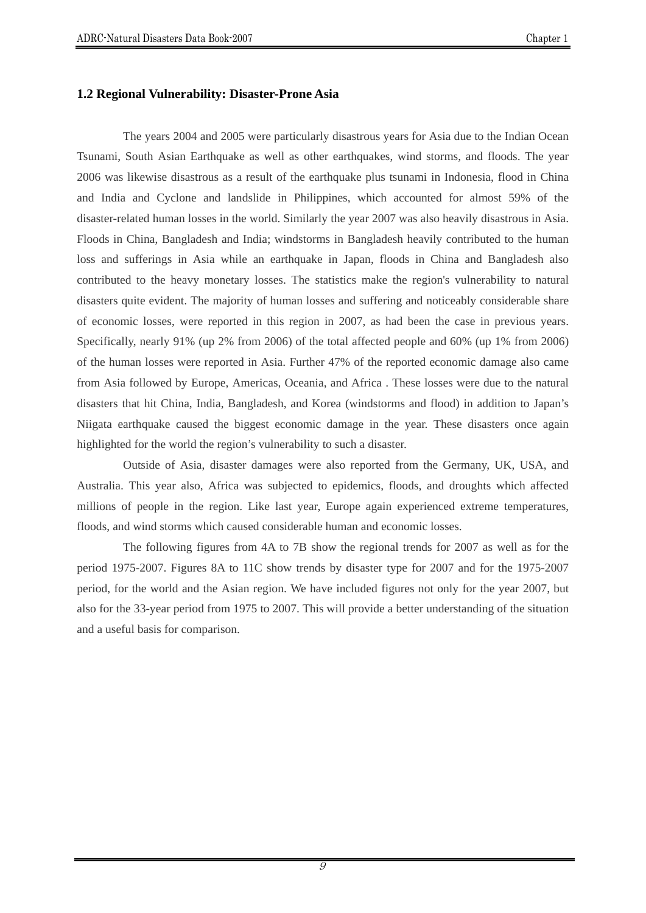# **1.2 Regional Vulnerability: Disaster-Prone Asia**

The years 2004 and 2005 were particularly disastrous years for Asia due to the Indian Ocean Tsunami, South Asian Earthquake as well as other earthquakes, wind storms, and floods. The year 2006 was likewise disastrous as a result of the earthquake plus tsunami in Indonesia, flood in China and India and Cyclone and landslide in Philippines, which accounted for almost 59% of the disaster-related human losses in the world. Similarly the year 2007 was also heavily disastrous in Asia. Floods in China, Bangladesh and India; windstorms in Bangladesh heavily contributed to the human loss and sufferings in Asia while an earthquake in Japan, floods in China and Bangladesh also contributed to the heavy monetary losses. The statistics make the region's vulnerability to natural disasters quite evident. The majority of human losses and suffering and noticeably considerable share of economic losses, were reported in this region in 2007, as had been the case in previous years. Specifically, nearly 91% (up 2% from 2006) of the total affected people and 60% (up 1% from 2006) of the human losses were reported in Asia. Further 47% of the reported economic damage also came from Asia followed by Europe, Americas, Oceania, and Africa . These losses were due to the natural disasters that hit China, India, Bangladesh, and Korea (windstorms and flood) in addition to Japan's Niigata earthquake caused the biggest economic damage in the year. These disasters once again highlighted for the world the region's vulnerability to such a disaster.

Outside of Asia, disaster damages were also reported from the Germany, UK, USA, and Australia. This year also, Africa was subjected to epidemics, floods, and droughts which affected millions of people in the region. Like last year, Europe again experienced extreme temperatures, floods, and wind storms which caused considerable human and economic losses.

 The following figures from 4A to 7B show the regional trends for 2007 as well as for the period 1975-2007. Figures 8A to 11C show trends by disaster type for 2007 and for the 1975-2007 period, for the world and the Asian region. We have included figures not only for the year 2007, but also for the 33-year period from 1975 to 2007. This will provide a better understanding of the situation and a useful basis for comparison.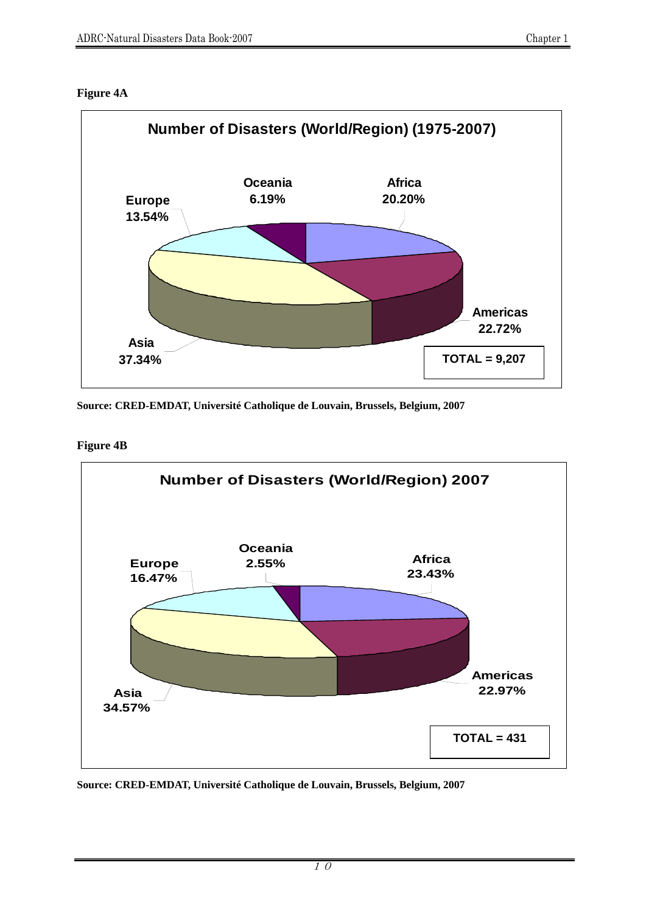





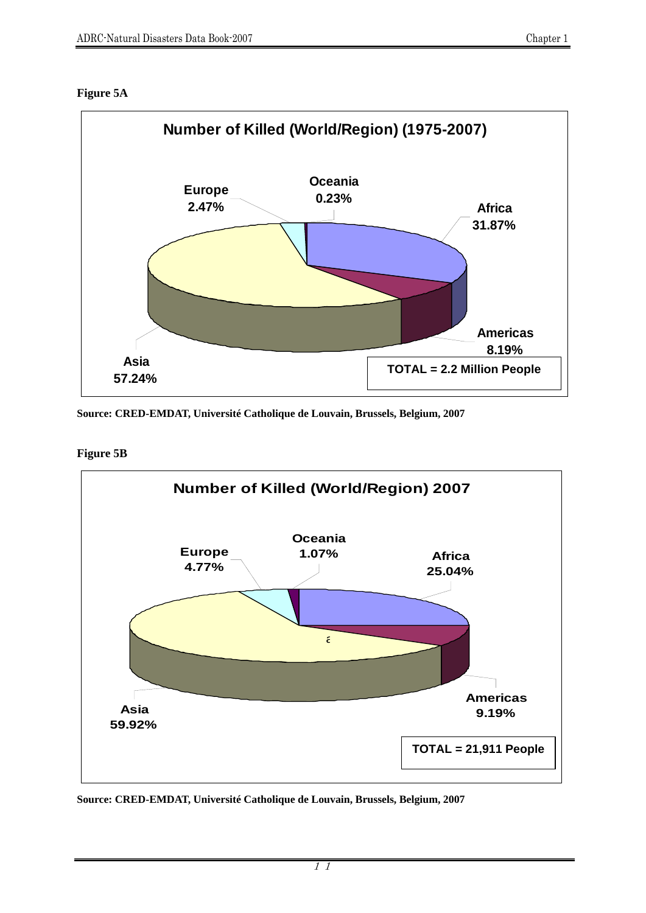



**Figure 5B** 

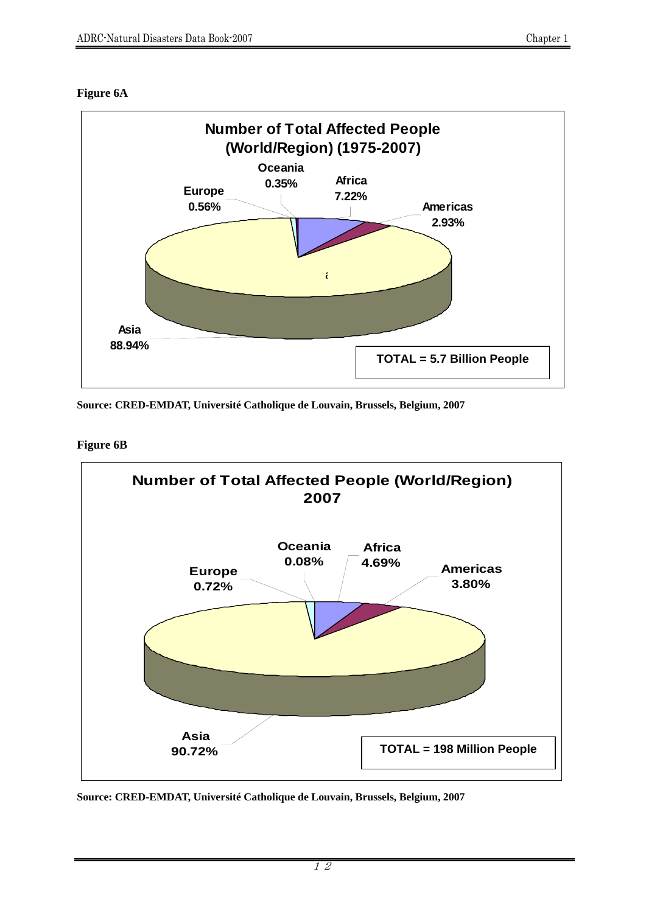



**Figure 6B** 

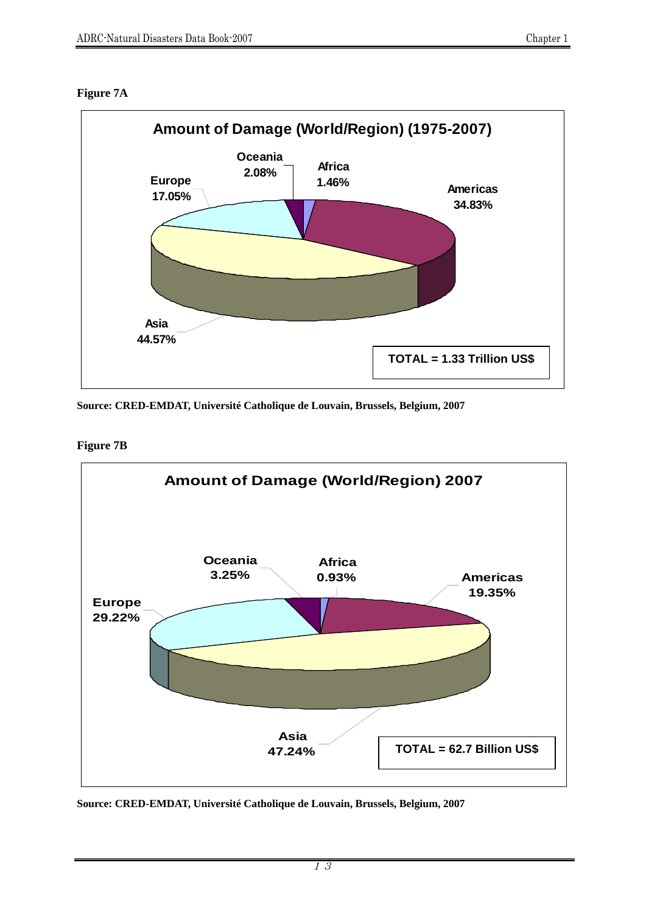# **Figure 7A**



**Source: CRED-EMDAT, Université Catholique de Louvain, Brussels, Belgium, 2007** 

**Figure 7B** 

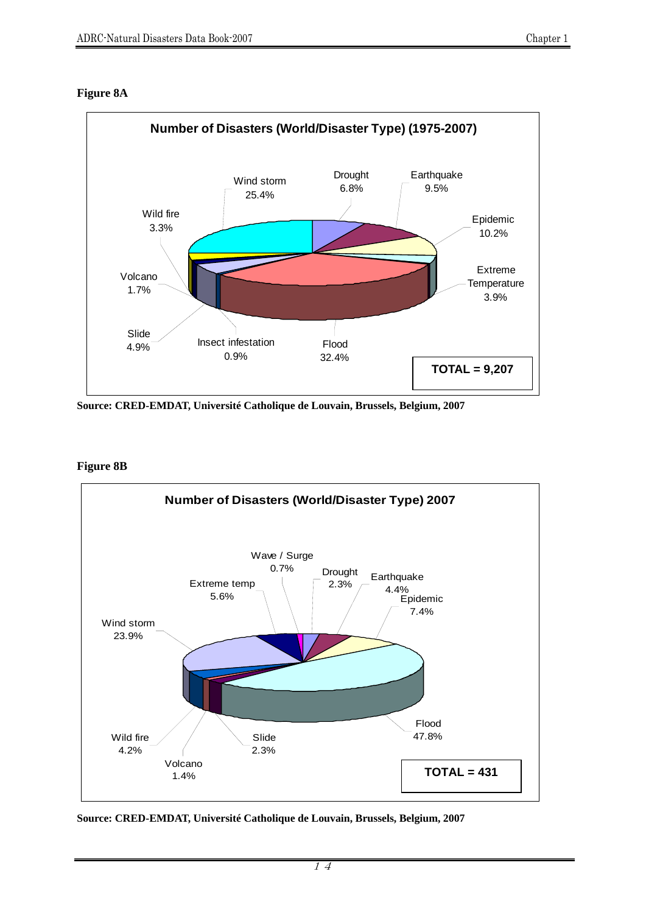



**Source: CRED-EMDAT, Université Catholique de Louvain, Brussels, Belgium, 2007** 

**Figure 8B** 



**Source: CRED-EMDAT, Université Catholique de Louvain, Brussels, Belgium, 2007**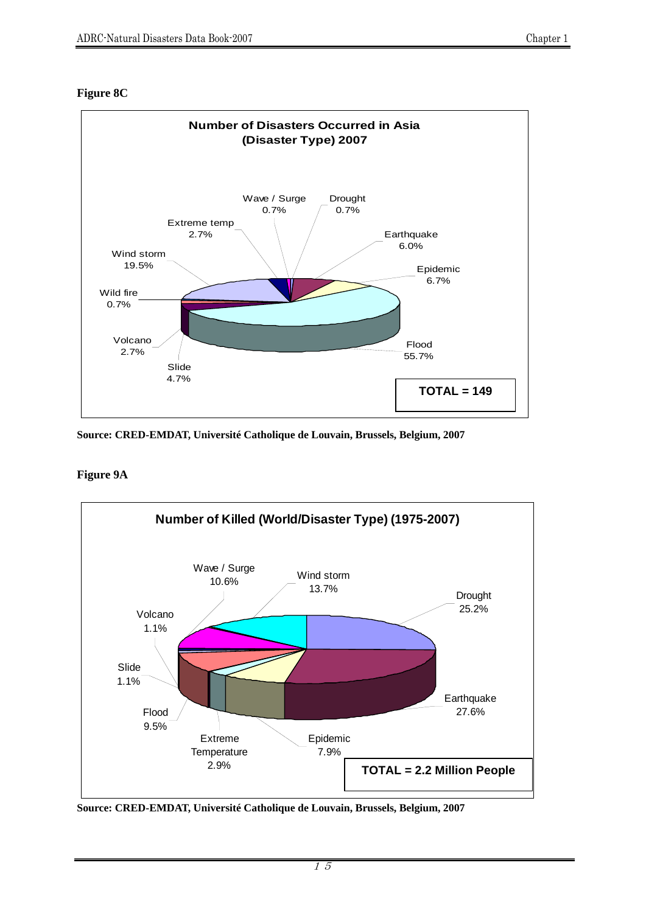#### **Figure 8C**



**Source: CRED-EMDAT, Université Catholique de Louvain, Brussels, Belgium, 2007** 

## **Figure 9A**



**Source: CRED-EMDAT, Université Catholique de Louvain, Brussels, Belgium, 2007**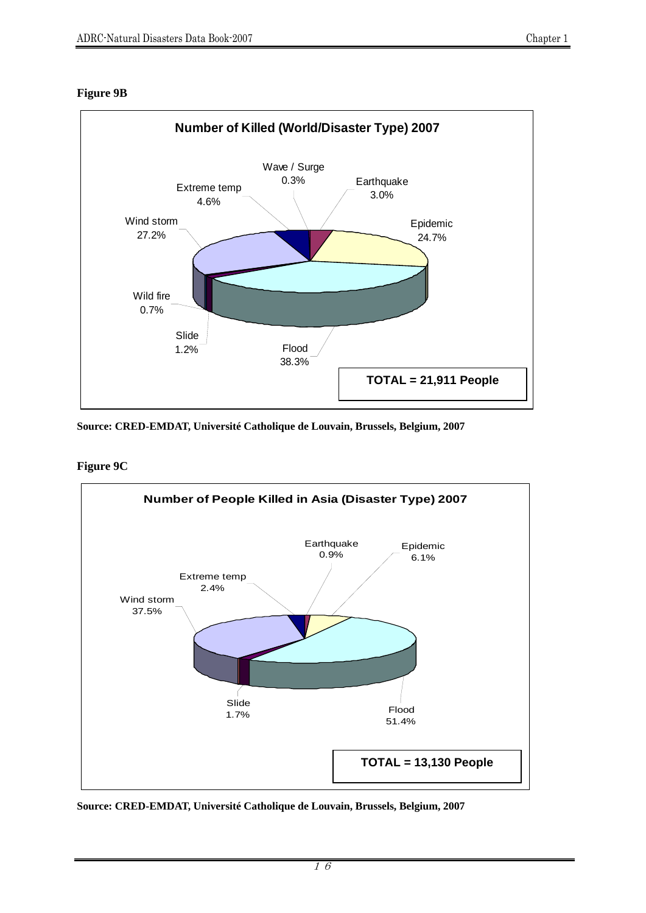#### **Figure 9B**



**Source: CRED-EMDAT, Université Catholique de Louvain, Brussels, Belgium, 2007** 



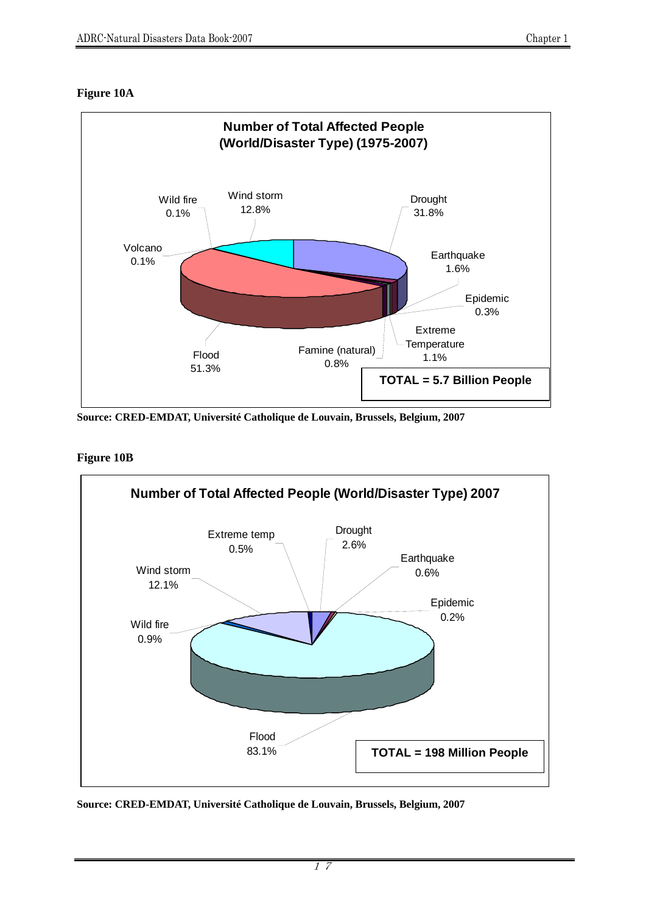## **Figure 10A**



**Source: CRED-EMDAT, Université Catholique de Louvain, Brussels, Belgium, 2007** 

## **Figure 10B**

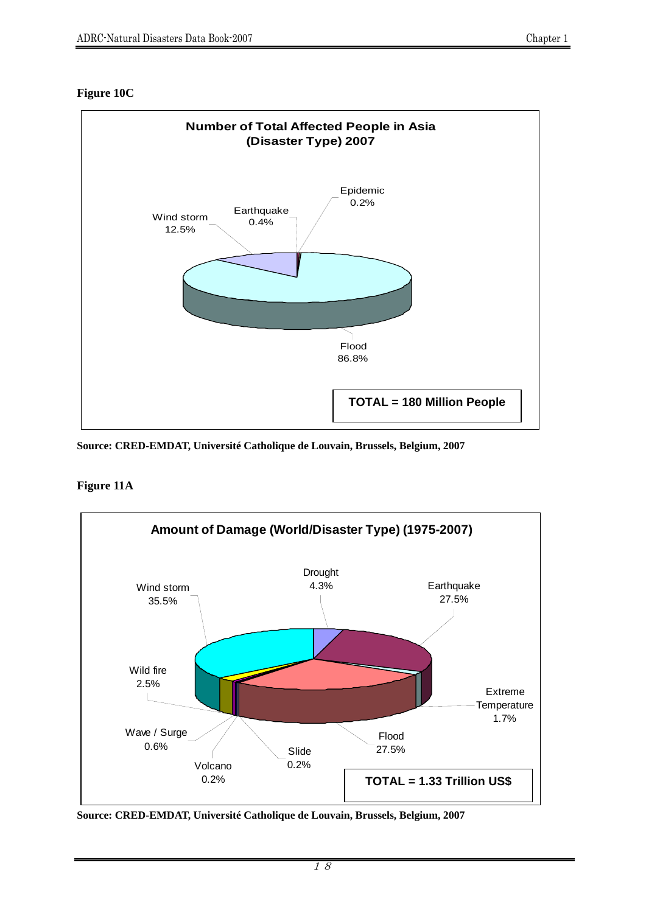#### **Figure 10C**



**Source: CRED-EMDAT, Université Catholique de Louvain, Brussels, Belgium, 2007** 

#### **Figure 11A**



**Source: CRED-EMDAT, Université Catholique de Louvain, Brussels, Belgium, 2007**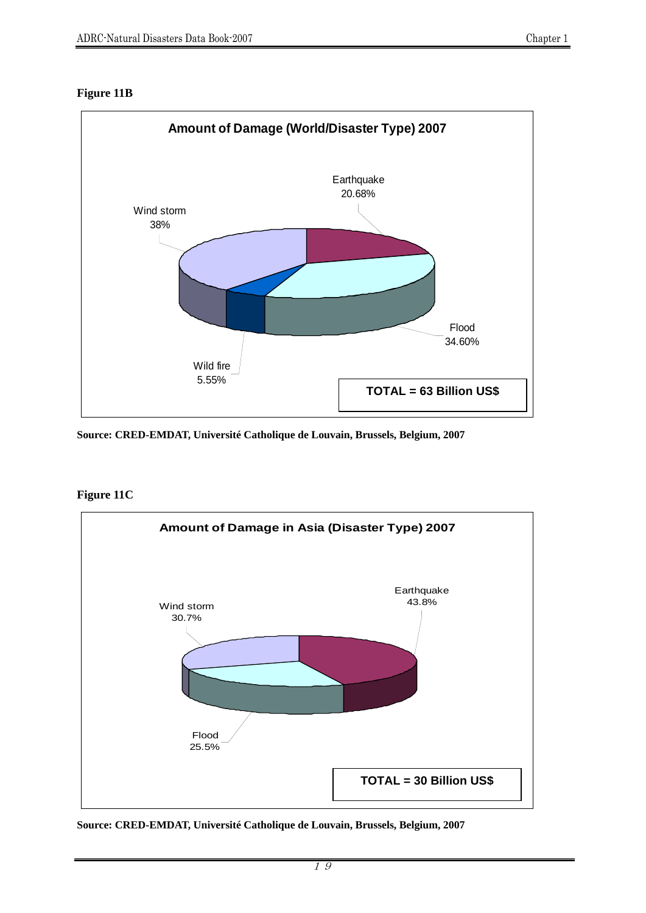# **Figure 11B**



**Source: CRED-EMDAT, Université Catholique de Louvain, Brussels, Belgium, 2007** 

**Figure 11C** 



**Source: CRED-EMDAT, Université Catholique de Louvain, Brussels, Belgium, 2007**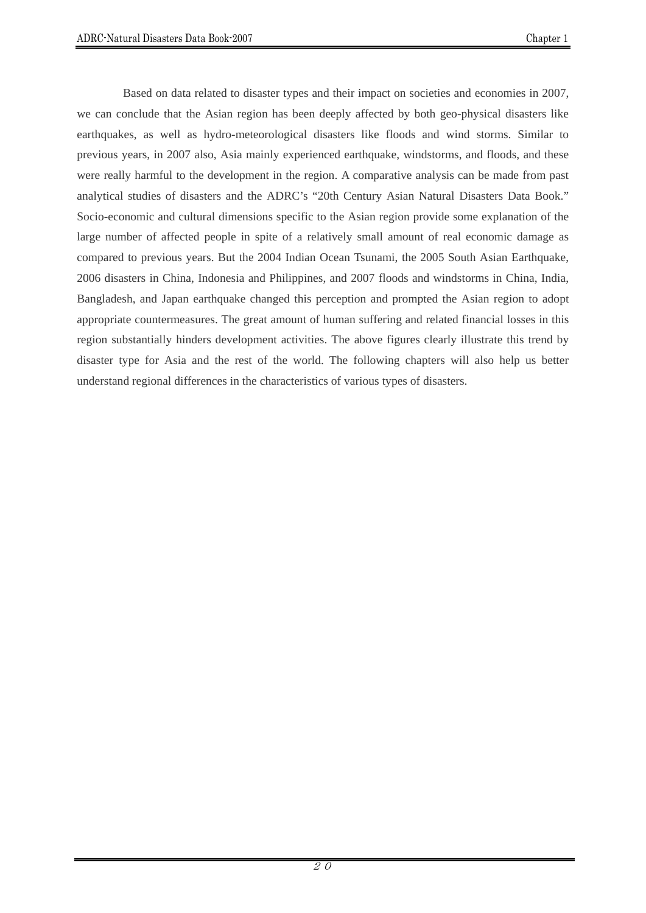Based on data related to disaster types and their impact on societies and economies in 2007, we can conclude that the Asian region has been deeply affected by both geo-physical disasters like earthquakes, as well as hydro-meteorological disasters like floods and wind storms. Similar to previous years, in 2007 also, Asia mainly experienced earthquake, windstorms, and floods, and these were really harmful to the development in the region. A comparative analysis can be made from past analytical studies of disasters and the ADRC's "20th Century Asian Natural Disasters Data Book." Socio-economic and cultural dimensions specific to the Asian region provide some explanation of the large number of affected people in spite of a relatively small amount of real economic damage as compared to previous years. But the 2004 Indian Ocean Tsunami, the 2005 South Asian Earthquake, 2006 disasters in China, Indonesia and Philippines, and 2007 floods and windstorms in China, India, Bangladesh, and Japan earthquake changed this perception and prompted the Asian region to adopt appropriate countermeasures. The great amount of human suffering and related financial losses in this region substantially hinders development activities. The above figures clearly illustrate this trend by disaster type for Asia and the rest of the world. The following chapters will also help us better understand regional differences in the characteristics of various types of disasters.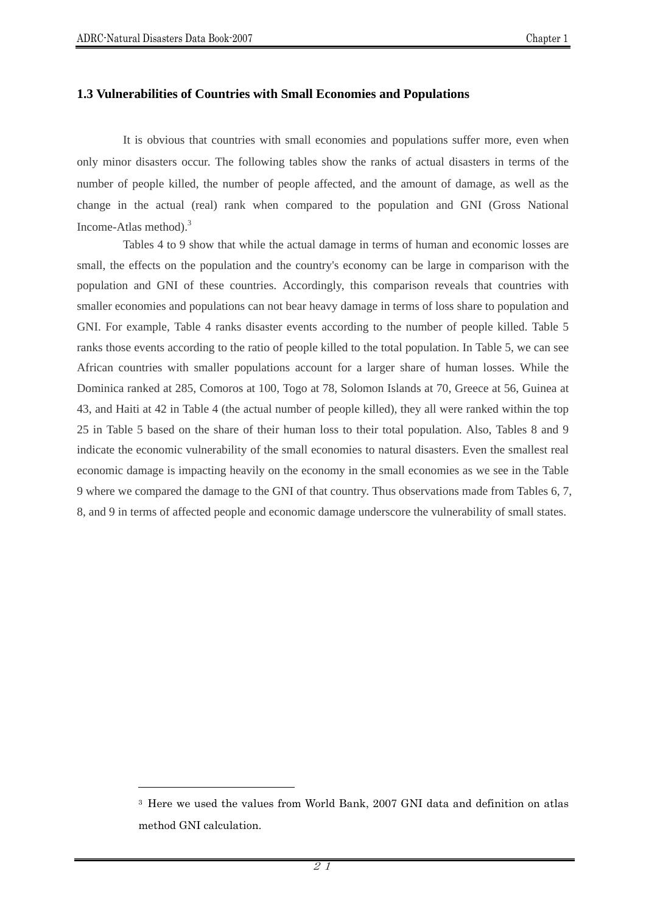$\overline{a}$ 

#### **1.3 Vulnerabilities of Countries with Small Economies and Populations**

It is obvious that countries with small economies and populations suffer more, even when only minor disasters occur. The following tables show the ranks of actual disasters in terms of the number of people killed, the number of people affected, and the amount of damage, as well as the change in the actual (real) rank when compared to the population and GNI (Gross National Income-Atlas method).<sup>3</sup>

 Tables 4 to 9 show that while the actual damage in terms of human and economic losses are small, the effects on the population and the country's economy can be large in comparison with the population and GNI of these countries. Accordingly, this comparison reveals that countries with smaller economies and populations can not bear heavy damage in terms of loss share to population and GNI. For example, Table 4 ranks disaster events according to the number of people killed. Table 5 ranks those events according to the ratio of people killed to the total population. In Table 5, we can see African countries with smaller populations account for a larger share of human losses. While the Dominica ranked at 285, Comoros at 100, Togo at 78, Solomon Islands at 70, Greece at 56, Guinea at 43, and Haiti at 42 in Table 4 (the actual number of people killed), they all were ranked within the top 25 in Table 5 based on the share of their human loss to their total population. Also, Tables 8 and 9 indicate the economic vulnerability of the small economies to natural disasters. Even the smallest real economic damage is impacting heavily on the economy in the small economies as we see in the Table 9 where we compared the damage to the GNI of that country. Thus observations made from Tables 6, 7, 8, and 9 in terms of affected people and economic damage underscore the vulnerability of small states.

<sup>3</sup> Here we used the values from World Bank, 2007 GNI data and definition on atlas method GNI calculation.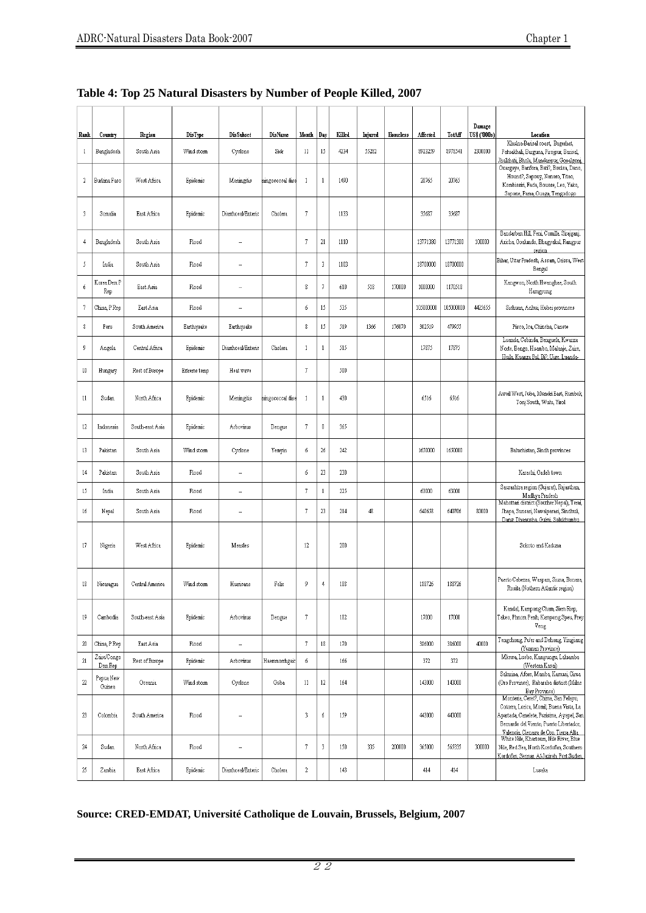| Rank         | Country                | Region          | DisType      | Dis Subset         | DisName          | Month               | Day            | Killed | Injured | Homeless | Affected  | TotAff    | Damage<br>US\$ ('000s) | Location                                                                                                                                                                                                         |
|--------------|------------------------|-----------------|--------------|--------------------|------------------|---------------------|----------------|--------|---------|----------|-----------|-----------|------------------------|------------------------------------------------------------------------------------------------------------------------------------------------------------------------------------------------------------------|
| $\mathbf{1}$ | Bangladesh             | South Asia      | Wind storm   | Cyclone            | Sidr             | 11                  | 15             | 4234   | 55282   |          | 8923259   | 8978541   | 2300000                | Khulna-Barisal coast, Bagerhat,<br>Patuakhali, Barguna, Pirojpur, Barisal,<br>Jhalkhati, Bhola, Mandaripur, Gopalgonj,                                                                                           |
| $\sqrt{2}$   | Burkina Faso           | West Africa     | Epidemic     | Meningitis         | hingococcal dise | $\overline{1}$      | $\mathbf{1}$   | 1490   |         |          | 20765     | 20765     |                        | Ouargaye, Banfora, Bati?, Boulsa, Dano,<br>Hound?, Sapouy, Nanoro, Titao,<br>Kombissiri, Fada, Bousse, Leo, Yako,<br>Sapone, Pama, Ouaga, Tengodogo                                                              |
| 3            | Somalia                | East Africa     | Epidemic     | Diarrhoeal/Enterio | Cholera          | 7                   |                | 1133   |         |          | 35687     | 35687     |                        |                                                                                                                                                                                                                  |
| 4            | Bangladesh             | South Asia      | Flood        |                    |                  | 7                   | $21\,$         | 1110   |         |          | 13771380  | 13771380  | 100000                 | Bandarban Hill, Feni, Comilla. Sirajganj,<br>Aricha, Goalundo, Bhagyakul, Rangpur<br>region                                                                                                                      |
| 5            | India                  | South Asia      | Flood        | ٠.                 |                  | 7                   | 3              | 1103   |         |          | 18700000  | 18700000  |                        | Bihar, Uttar Pradesh, Assam, Orissa, West<br>Bengal                                                                                                                                                              |
| 6            | Korea Dem P<br>Rep     | East Asia       | Flood        | ÷.                 |                  | $\,$ 8              | $\overline{7}$ | 610    | 518     | 170000   | 1000000   | 1170518   |                        | Kangwon, North Hwanghae, South<br>Hamgyong                                                                                                                                                                       |
| $\sqrt{7}$   | China, P Rep           | East Asia       | Flood        |                    |                  | 6                   | 15             | 535    |         |          | 105000000 | 105000000 | 4425655                | Sichuan, Anhui, Hubei provinces                                                                                                                                                                                  |
| 8            | Peru                   | South America   | Earthquake   | Earthquake         |                  | 8                   | 15             | 519    | 1366    | 176070   | 302519    | 479955    |                        | Pisco, Ica, Chincha, Canete                                                                                                                                                                                      |
| 9            | Angola                 | Central Africa  | Epidemic     | Diarrhoeal/Enteric | Cholera          | $\mathbf{1}$        | $1\,$          | 515    |         |          | 17875     | 17875     |                        | Luanda, Cabinda, Benguela, Kwanza<br>Norte, Bengo, Huambo, Malanje, Zaire,<br>Huila, Kuanza Sul, Bi?, Uige, Luanda-                                                                                              |
| 10           | Hungary                | Rest of Europe  | Extreme temp | Heat wave          |                  | 7                   |                | 500    |         |          |           |           |                        |                                                                                                                                                                                                                  |
| 11           | Sudan                  | North Africa    | Epidemic     | Meningitis         | ningococcal dise | 1                   | $\mathbf{1}$   | 430    |         |          | 6516      | 6516      |                        | Aweil West, Juba, Mundri East, Rumbek,<br>Tonj South, Wulu, Yirol                                                                                                                                                |
| 12           | Indonesia              | South-east Asia | Epidemic     | Arbovirus          | Dengue           | 7                   | 0              | 365    |         |          |           |           |                        |                                                                                                                                                                                                                  |
| 13           | Pakistan               | South Asia      | Wind storm   | Cyclone            | Yemyin           | 6                   | $26\,$         | 242    |         |          | 1650000   | 1650000   |                        | Baluchistan, Sindh provinces                                                                                                                                                                                     |
| 14           | Pakistan               | South Asia      | Flood        |                    |                  | 6                   | $23\,$         | 230    |         |          |           |           |                        | Karachi, Gadab town                                                                                                                                                                                              |
| 15           | India                  | South Asia      | Flood        | ۰.                 |                  | 7                   | $\,1\,$        | 225    |         |          | 63000     | 63000     |                        | Saurashtra region (Gujarat), Rajasthan,<br>Madhya Pradesh                                                                                                                                                        |
| 16           | Nepal                  | South Asia      | Flood        | ÷.                 |                  | 7                   | $23\,$         | 214    | 48      |          | 640658    | 640706    | 80000                  | Mahottari district (Souther Nepal), Terai,<br>Jhapa, Sunsari, Nawalparasi, Sindhuli,<br>Dang, Dhanusha, Gulmi, Solukhumbu                                                                                        |
| 17           | Nigeria                | West Africa     | Epidemic     | Measles            |                  | 12                  |                | 200    |         |          |           |           |                        | Sokoto and Kaduna                                                                                                                                                                                                |
| 18           | Nicaragua              | Central America | Wind storm   | Humcane            | Felix            | 9                   | 4              | 188    |         |          | 188726    | 188726    |                        | Puerto Cabezas, Waspam, Siuna, Bonaza,<br>Rosita (Nothern Atlantic region)                                                                                                                                       |
| 19           | Cambodia               | South-east Asia | Epidemic     | Arbovirus          | Dengue           | 7                   |                | 182    |         |          | 17000     | 17000     |                        | Kandal, Kampong Cham, Siem Riep,<br>Takeo, Phnom Penh, Kampong Speu, Prey<br>Veng                                                                                                                                |
| $20\,$       | China, P Rep           | East Asia       | Flood        | ä,                 |                  | $\overline{\jmath}$ | 18             | 170    |         |          | 386000    | 386000    | 40000                  | Tengchong, Pu'er and Dehong, Yingjiang<br>(Yunnan Province)                                                                                                                                                      |
| $21\,$       | Zaire/Congo<br>Dem Rep | Rest of Europe  | Epidemic     | Arbovirus          | Haemmorrhgaic    | 6                   |                | 166    |         |          | 372       | 372       |                        | Mkewa, Luebo, Kampungu, Laluamba<br>(Western Kasai)                                                                                                                                                              |
| $22\,$       | Papua New<br>Guinea    | Oceania         | Wind storm   | Cyclone            | Guba             | 11                  | $12 \,$        | 164    |         |          | 143000    | 143000    |                        | Sakarina, Afore, Mamba, Kamusi, Girua<br>(Oro Province), Rabaraba district (Milne<br>Bay Province)                                                                                                               |
| 23           | Colombia               | South America   | Flood        | ٠.                 |                  | $\overline{3}$      | б              | 159    |         |          | 443000    | 443000    |                        | Monteria, Ceret?, Chima, San Pelayo,<br>Cotorra, Lorica, Momil, Buena Vista, La<br>Apartada, Canelete, Purisima, Ayapel, San<br>Bernardo del Viento, Puerto Libertador,<br>Valencia, Cienaga de Oro, Tierra Alta |
| 24           | Sudan                  | North Africa    | Flood        |                    |                  | 7                   | 3              | 150    | 335     | 200000   | 365000    | 565335    | 300000                 | White Nile, Khartoum, Nile River, Blue<br>Nile, Red Sea, North Kordofan, Southern<br>Kordofan, Sennar, Al-Jazirah, Port Sudan,                                                                                   |
| 25           | Zambia                 | East Africa     | Epidemic     | Diarrhoeal/Enteric | Cholera          | $\sqrt{2}$          |                | 143    |         |          | 414       | 414       |                        | Lusaka                                                                                                                                                                                                           |

| Table 4: Top 25 Natural Disasters by Number of People Killed, 2007 |  |  |
|--------------------------------------------------------------------|--|--|
|                                                                    |  |  |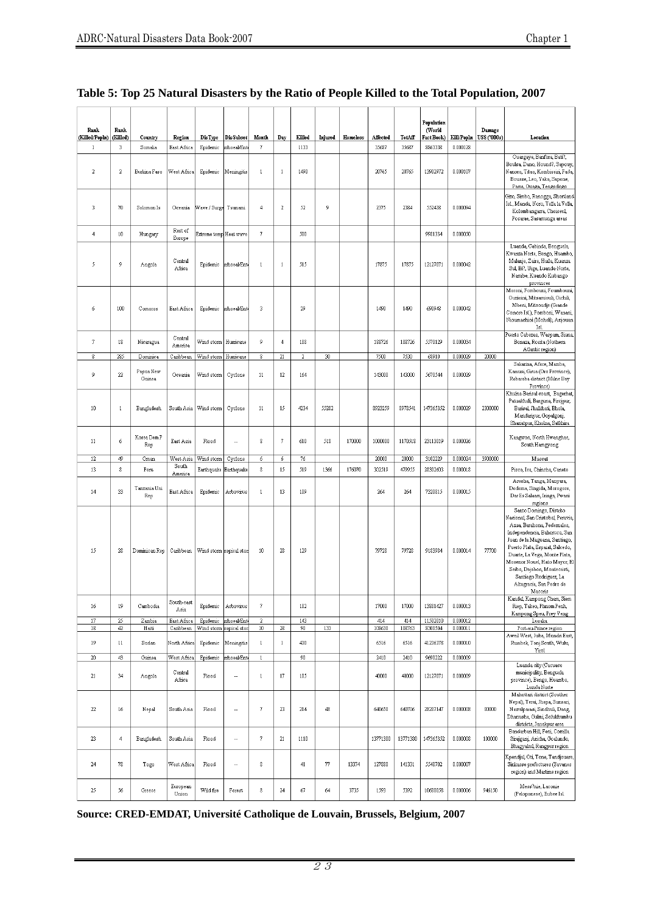ĭ

| Rank                           | Rank         |                         |                            |                                     |                          |                     |                        |              |         |          |                |                | Population<br>(World |                      | Damage       |                                                                                                                                                                                                                                                                                                                                                                   |
|--------------------------------|--------------|-------------------------|----------------------------|-------------------------------------|--------------------------|---------------------|------------------------|--------------|---------|----------|----------------|----------------|----------------------|----------------------|--------------|-------------------------------------------------------------------------------------------------------------------------------------------------------------------------------------------------------------------------------------------------------------------------------------------------------------------------------------------------------------------|
| (Killed/Popln)                 | (Killed)     | Country                 | Region                     | DisType                             | <b>DisSubset</b>         | Month               | Day                    | Killed       | Injured | Homeless | Affected       | TotAff         | Fact Book)           | Kill/Popln           | US\$ ('000s) | Location                                                                                                                                                                                                                                                                                                                                                          |
| $\mathbf{1}$<br>$\overline{2}$ | 3<br>2       | Somalia<br>Burkina Faso | East Africa<br>West Africa | Epidemic<br>Epidemic                | mhoeal/Ent<br>Meningitis | 7<br>$1\,$          | $\mathbf{1}$           | 1133<br>1490 |         |          | 35687<br>20765 | 35687<br>20765 | 8863338<br>13902972  | 0.000128<br>0.000107 |              | Ouargaye, Banfora, Bati?,<br>Boulsa, Dano, Hound?, Sapouy,<br>Nanoro, Titao, Kombissiri, Fada,<br>Bousse, Leo, Yako, Sapone,<br>Pama, Ouaga, Tengodogo                                                                                                                                                                                                            |
| 3                              | 70           | Solomon Is              | Oceania                    | Wave / Surge Tsunami                |                          | 4                   | $\sqrt{2}$             | 52           | 9       |          | 2375           | 2384           | 552438               | 0.000094             |              | Gizo, Simbo, Ranogga, Shortland<br>Isl., Munda, Noro, Vella la Vella,<br>Kolombangarra, Choiseul,<br>Posarae, Sasamunga areas                                                                                                                                                                                                                                     |
| 4                              | $10\,$       | Hungary                 | Rest of<br>Europe          | Extreme temp Heat wave              |                          | 7                   |                        | 500          |         |          |                |                | 9981334              | 0.000050             |              |                                                                                                                                                                                                                                                                                                                                                                   |
| 5                              | 9            | Angola                  | Central<br>Africa          | Epidemic                            | mhoeal/Ent               | $\mathbf{1}$        | $\mathbf{1}$           | 515          |         |          | 17875          | 17875          | 12127071             | 0.000042             |              | Luanda, Cabinda, Benguela,<br>Kwanza Norte, Bengo, Huambo,<br>Malanje, Zaire, Huila, Kuanza<br>Sul, Bi?, Uige, Luanda-Norte,<br>Namibe, Kuando Kubango<br>provinces                                                                                                                                                                                               |
| 6                              | 100          | Comoros                 | East Africa                | Epidemic                            | mhoeal/Ent               | 3                   |                        | 29           |         |          | 1490           | 1490           | 690948               | 0.000042             |              | Moroni, Fombouni, Foumbouni<br>Ouzioini, Mitsamiouli, Oichili,<br>Mbeni, Mitsoudje (Grande<br>Comore Is1), Fomboni, Wanani,<br>Nioumachioi (Moheli), Anjouan<br>Is1                                                                                                                                                                                               |
| $7\phantom{.0}$                | 18           | Nicaragua               | Central<br>America         | Wind storm                          | Hurricane                | 9                   | $\overline{4}$         | 188          |         |          | 188726         | 188726         | 5570129              | 0.000034             |              | Puerto Cabezas, Waspam, Siuna<br>Bonaza, Rosita (Nothern<br>Atlantic region)                                                                                                                                                                                                                                                                                      |
| 8                              | 285          | Dominica                | Caribbean                  | Wind storm   Hurricane              |                          | 8                   | $21\,$                 | 2            | 30      |          | 7500           | 7530           | 68910                | 0.000029             | 20000        |                                                                                                                                                                                                                                                                                                                                                                   |
| 9                              | $22\,$       | Papua New<br>Guinea     | Oceania                    | Wind storm                          | Cyclone                  | 11                  | 12                     | 164          |         |          | 143000         | 143000         | 5670544              | 0.000029             |              | Sakarina, Afore, Mamba,<br>Kamusi, Girua (Oro Province),<br>Rabaraba district (Milne Bay<br>Province)                                                                                                                                                                                                                                                             |
| 10                             | $1\,$        | Bangladesh              | South Asia                 | Wind storm                          | Cyclone                  | 11                  | 15                     | 4234         | 55282   |          | 8923259        | 8978541        | 147365352            | 0.000029             | 2300000      | Khulna-Barisal coast, Bagerhat,<br>Patuakhali, Barguna, Pirojpur,<br>Barisal, Jhalkhati, Bhola,<br>Mandaripur, Gopalgonj,<br>Shariatpur, Khulna, Satkhira                                                                                                                                                                                                         |
| 11                             | 6            | Korea Dem P<br>Rep      | East Asia                  | Flood                               |                          | 8                   | $\boldsymbol{7}$       | 610          | 518     | 170000   | 1000000        | 1170518        | 23113019             | 0.000026             |              | Kangwon, North Hwanghae,<br>South Hamgyong                                                                                                                                                                                                                                                                                                                        |
|                                |              |                         |                            |                                     |                          |                     |                        |              |         |          |                |                |                      |                      |              |                                                                                                                                                                                                                                                                                                                                                                   |
| $12\,$                         | 49           | Oman                    | West Asia                  | Wind storm                          | Cyclone                  | 6                   | 6                      | $76\,$       |         |          | 20000          | 20000          | 3102229              | 0.000024             | 3900000      | Muscat                                                                                                                                                                                                                                                                                                                                                            |
| 13                             | 8            | Peru                    | South                      | Earthquake                          | Earthquake               | 8                   | 15                     | 519          | 1366    | 176070   | 302519         | 479955         | 28302603             | 0.000018             |              | Pisco, Ica, Chincha, Canete                                                                                                                                                                                                                                                                                                                                       |
| 14                             | 33           | Tanzania Uni<br>Rep     | America<br>East Africa     | Epidemic                            | Arbovirus                | $1\,$               | 13                     | 109          |         |          | 264            | 264            | 7320815              | 0.000015             |              | Arusha, Tanga, Manyara,<br>Dodoma, Singida, Morogoro,<br>Dar Es Salaam, Iringa, Pwani<br>regions                                                                                                                                                                                                                                                                  |
| 15                             | 28           | Dominican Rep           | Caribbean                  | Wind storm ropical stor             |                          | $10\,$              | 28                     | 129          |         |          | 79728          | 79728          | 9183984              | 0.000014             | 77700        | Santo Domingo, Distrito<br>Nacional, San Cristobal, Peravia,<br>Azua, Barahona, Pedemales,<br>Independencia, Bahoruco, San<br>Juan de la Maguana, Santiago,<br>Puerto Plata, Espaiat, Salcedo,<br>Duarte, La Vega, Monte Plata,<br>Mosenor Nouel, Hato Mayor, El<br>Seibo, Dajabon, Montecristi,<br>Santiago Rodriguez, La<br>Altagracia, San Pedro de<br>Macoris |
| 16                             | 19           | Cambodia                | South-east<br>Asia         | Epidemic                            | Arbovirus                | 7                   |                        | 182          |         |          | 17000          | 17000          | 13881427             | 0.000013             |              | Kandal, Kampong Cham, Siem<br>Riep, Takeo, Phnom Penh,<br>Kampong Speu, Prey Veng                                                                                                                                                                                                                                                                                 |
| 17                             | 25           | Zambia                  | East Africa                |                                     | Epidemic mhoeal/Ent      | 2                   |                        | 143          |         |          | 414            | 414            | 11502010             | 0.000012             |              | Lusaka                                                                                                                                                                                                                                                                                                                                                            |
| 18<br>19                       | 42<br>$11\,$ | Haiti<br>Sudan          | Caribbean<br>North Africa  | Wind storm ropical stor<br>Epidemic | Meningitis               | $10\,$<br>$1\,$     | $28\,$<br>$\mathbf{1}$ | 90<br>430    | 133     |          | 108630<br>6516 | 108763<br>6516 | 8308504<br>41236378  | 0.000011<br>0.000010 |              | Port-au-Prince region<br>Aweil West, Juba, Mundri East,<br>Rumbek, Tonj South, Wulu,                                                                                                                                                                                                                                                                              |
|                                |              |                         |                            |                                     |                          |                     |                        |              |         |          |                |                |                      |                      |              | Yiro1                                                                                                                                                                                                                                                                                                                                                             |
| $20\,$                         | 43           | Guinea                  | West Africa                | Epidemic                            | mhoeal/Ent               | $\,$ $\,$           |                        | 90           |         |          | 2410           | 2410           | 9690222              | 0.000009             |              | Luanda city (Cacuaco                                                                                                                                                                                                                                                                                                                                              |
| 21                             | 34           | Angola                  | Central<br>Africa          | Flood                               |                          | $1\,$               | $17\,$                 | 105          |         |          | 40000          | 40000          | 12127071             | 0.000009             |              | municipality, Benguela<br>province), Bengo, Huambo,<br>Lunda Norte                                                                                                                                                                                                                                                                                                |
| $22\,$                         | 16           | Nepal                   | South Asia                 | Flood                               |                          | 7                   | 23                     | 214          | 48      |          | 640658         | 640706         | 28287147             | 0.000008             | 80000        | Mahottari district (Souther<br>Nepal), Terai, Jhapa, Sunsari,<br>Nawalparasi, Sindhuli, Dang,<br>Dhanusha, Gulmi, Solukhumbu<br>districts, Janakpur area                                                                                                                                                                                                          |
| 23                             | 4            | Bangladesh              | South Asia                 | Flood                               |                          | $\scriptstyle\rm 7$ | $21\,$                 | 1110         |         |          | 13771380       | 13771380       | 147365352            | 0.000008             | 100000       | Bandarban Hill, Feni, Comilla.<br>Sirajganj, Aricha, Goalundo,<br>Bhagyakul, Rangpur region                                                                                                                                                                                                                                                                       |
| 24                             | 78           | Togo                    | West Africa                | Flood                               |                          | 8                   |                        | 41           | 77      | 13374    | 127880         | 141331         | 5548702              | 0.000007             |              | Kpendjal, Oti, Tone, Tandjouare,<br>Sinkasse prefectures (Savanes<br>region) and Martime region                                                                                                                                                                                                                                                                   |

#### **Table 5: Top 25 Natural Disasters by the Ratio of People Killed to the Total Population, 2007**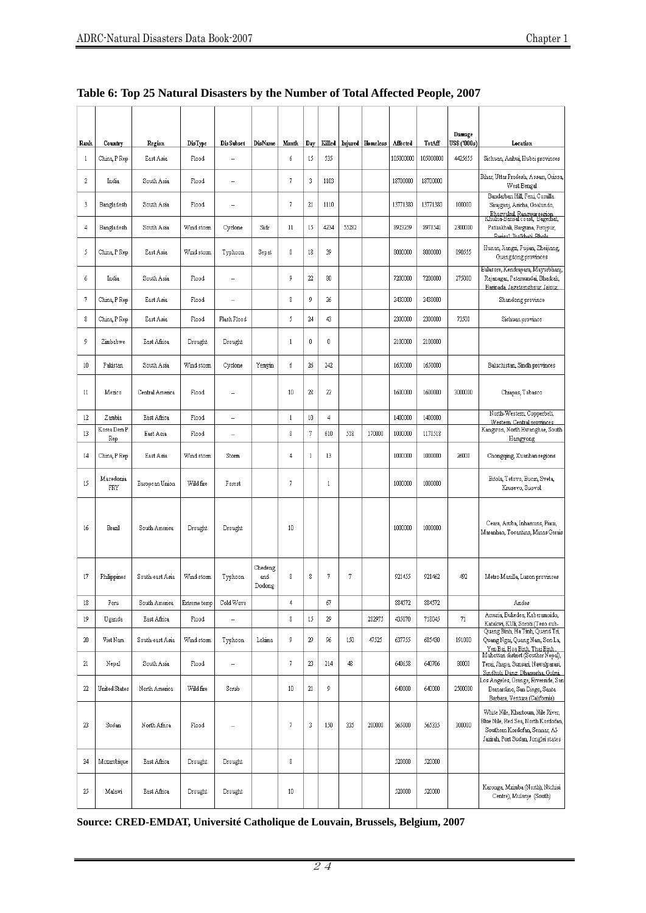|                  |                  |                 |                |                  |                          |              |              |              |       |                         |           |           | Damage       |                                                                                                                                                   |
|------------------|------------------|-----------------|----------------|------------------|--------------------------|--------------|--------------|--------------|-------|-------------------------|-----------|-----------|--------------|---------------------------------------------------------------------------------------------------------------------------------------------------|
| Rank             | Country          | Region          | <b>DisType</b> | <b>DisSubset</b> | DisName                  | Month        | Day          | Killed       |       | <b>Injured</b> Homeless | Affected  | TotAff    | US\$ ('000s) | Location                                                                                                                                          |
| 1                | China, P Rep     | East Asia       | Flood          | ц,               |                          | 6            | 15           | 535          |       |                         | 105000000 | 105000000 | 4425655      | Sichuan, Anhui, Hubei provinces                                                                                                                   |
| $\boldsymbol{2}$ | India            | South Asia      | Flood          | н.               |                          | 7            | 3            | 1103         |       |                         | 18700000  | 18700000  |              | Bihar, Uttar Pradesh, Assam, Orissa,<br>West Bengal                                                                                               |
| 3                | Bangladesh       | South Asia      | Flood          | ۰.               |                          | 7            | 21           | 1110         |       |                         | 13771380  | 13771380  | 100000       | Bandarban Hill, Feni, Comilla.<br>Sirajganj, Aricha, Goalundo,<br>Bhagyakul Rangpur region<br>Khulna-Bansal coast, Bagerhat,                      |
| 4                | Bangladesh       | South Asia      | Wind storm     | Cyclone          | Sidr                     | 11           | 15           | 4234         | 55282 |                         | 8923259   | 8978541   | 2300000      | Patuakhali, Barguna, Pirojpur,<br>Rarisal Ihalkhati Rhola                                                                                         |
| 5                | China, P Rep     | East Asia       | Wind storm     | Typhoon          | Sepat                    | 8            | 18           | 39           |       |                         | 8000000   | 8000000   | 890555       | Hunan, Jiangxi, Fujian, Zheijiang,<br>Guangdong provinces                                                                                         |
| 6                | India            | South Asia      | Flood          |                  |                          | 9            | 22           | 80           |       |                         | 7200000   | 7200000   | 275000       | Balasore, Kendrapara, Mayurbhanj,<br>Rajanagar, Patamundai, Bhadrak,<br>Barinada, Jagatsinghpur, Jajpur,                                          |
| 7                | China, P Rep     | East Asia       | Flood          |                  |                          | 8            | 9            | 26           |       |                         | 2430000   | 2430000   |              | Shandong province                                                                                                                                 |
| 8                | China, P Rep     | East Asia       | Flood          | Flash Flood      |                          | 5            | 24           | 43           |       |                         | 2300000   | 2300000   | 73500        | Sichuan province                                                                                                                                  |
| 9                | Zimbabwe         | East Africa     | Drought        | Drought          |                          | $\mathbf{1}$ | 0            | 0            |       |                         | 2100000   | 2100000   |              |                                                                                                                                                   |
| 10               | Pakistan         | South Asia      | Wind storm     | Cyclone          | Yemyin                   | 6            | 26           | 242          |       |                         | 1650000   | 1650000   |              | Baluchistan, Sindh provinces                                                                                                                      |
| 11               | Mexico           | Central America | Flood          | н,               |                          | 10           | 28           | 22           |       |                         | 1600000   | 1600000   | 3000000      | Chiapas, Tabasco                                                                                                                                  |
| $12 \,$          | Zambia           | East Africa     | Flood          | ä,               |                          | $\mathbf{1}$ | 10           | 4            |       |                         | 1400000   | 1400000   |              | North-Western, Copperbelt,                                                                                                                        |
| 13               | Korea Dem P      | East Asia       | Flood          | ÷.               |                          | 8            | $\sqrt{7}$   | 610          | 518   | 170000                  | 1000000   | 1170518   |              | Western Central provinces<br>Kangwon, North Hwanghae, South                                                                                       |
|                  | Rep              |                 |                |                  |                          |              |              |              |       |                         |           |           |              | Hamgyong                                                                                                                                          |
| 14               | China, P Rep     | East Asia       | Wind storm     | Storm            |                          | 4            | $\mathbf{1}$ | 13           |       |                         | 1000000   | 1000000   | 26000        | Chongqing, Xuanhan regions                                                                                                                        |
| 15               | Macedonia<br>FRY | European Union  | Wild fire      | Forest           |                          | 7            |              | $\mathbf{1}$ |       |                         | 1000000   | 1000000   |              | Bitola, Tetovo, Bucin, Sveta,<br>Krusevo, Suovol                                                                                                  |
| 16               | Brazil           | South America   | Drought        | Drought          |                          | 10           |              |              |       |                         | 1000000   | 1000000   |              | Ceara, Aiuba, Inhamuns, Piaui,<br>Maranhao, Tocantins, Minas Gerais                                                                               |
| 17               | Philippines      | South-east Asia | Wind storm     | Typhoon          | Chedeng<br>and<br>Dodong | 8            | $\,$ 8       | 7            | 7     |                         | 921455    | 921462    | 492          | Metro Manilla, Luzon provinces                                                                                                                    |
| 18               | Peru             | South America   | Extreme temp   | Cold Wave        |                          | 4            |              | 67           |       |                         | 884572    | 884572    |              | Andes                                                                                                                                             |
| 19               | Uganda           | East Africa     | Flood          | ÷,               |                          | 8            | 15           | 29           |       | 282975                  | 435070    | 718045    | 71           | Amuria, Bukedea, Kaberamoido,<br>Katakwi, KUli, Soroti (Teso sub-                                                                                 |
| 20               | Viet Nam         | South-east Asia | Wind storm     | Typhoon          | Lekima                   | 9            | 29           | 96           | 150   | 47525                   | 637755    | 685430    | 191000       | Quang Binh, Ha Tinh, Quand Tri,<br>Quang Ngai, Quang Nam, Son La,<br>Yen Bai, Hoa Binh, Thai Binh.                                                |
| 21               | Nepal            | South Asia      | Flood          |                  |                          | 7            | 23           | 214          | 48    |                         | 640658    | 640706    | 80000        | Mahottari district (Souther Nepal),<br>Terai, Jhapa, Sunsari, Nawalparasi,<br>Sindhuli, Dang, Dhanusha, Gulmi,                                    |
| 22               | United States    | North America   | Wild fire      | Scrub            |                          | 10           | 21           | 9            |       |                         | 640000    | 640000    | 2500000      | Los Angeles, Orange, Riverside, San<br>Bernardino, San Diego, Santa<br>Barbara, Ventura (California)                                              |
| 23               | Sudan            | North Africa    | Flood          | ÷.               |                          | 7            | 3            | 150          | 335   | 200000                  | 365000    | 565335    | 300000       | White Nile, Khartoum, Nile River,<br>Blue Nile, Red Sea, North Kordofan,<br>Southern Kordofan, Sennar, Al-<br>Jazirah, Port Sudan, Jonglei states |
| 24               | Mozambique       | East Africa     | Drought        | Drought          |                          | 8            |              |              |       |                         | 520000    | 520000    |              |                                                                                                                                                   |
| 25               | Malawi           | East Africa     | Drought        | Drought          |                          | 10           |              |              |       |                         | 520000    | 520000    |              | Karonga, Mzimba (North), Ntchisi<br>Centre), Mulanje (South)                                                                                      |

|  |  | Table 6: Top 25 Natural Disasters by the Number of Total Affected People, 2007 |  |
|--|--|--------------------------------------------------------------------------------|--|
|  |  |                                                                                |  |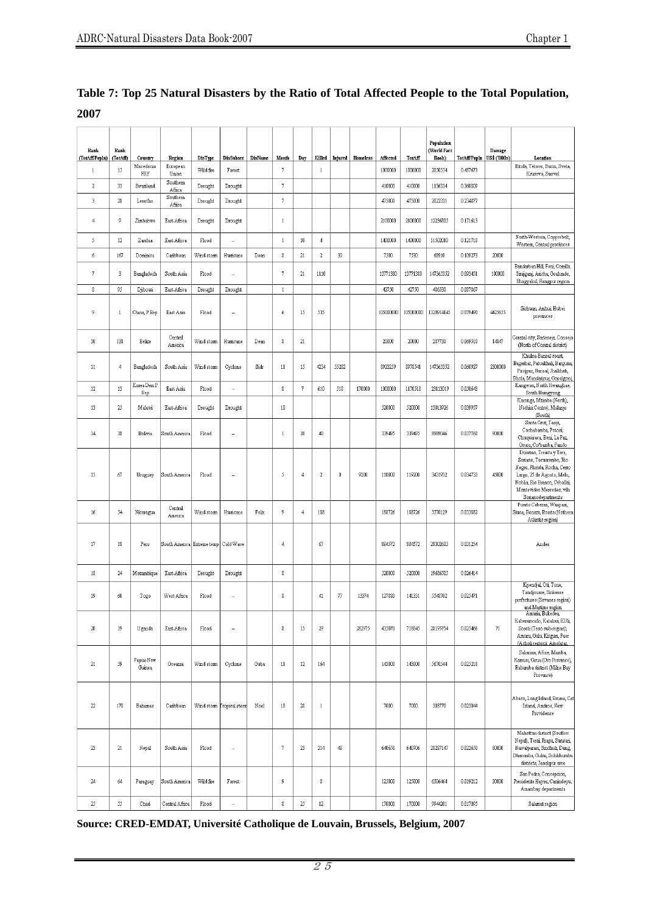| Rank                           | Rank           |                      |                                        |                             |                            |         |                              |            |                        |             |          |                     |                   | Population<br>(World Fact |                          | Damage       |                                                                                                                                                                                                       |
|--------------------------------|----------------|----------------------|----------------------------------------|-----------------------------|----------------------------|---------|------------------------------|------------|------------------------|-------------|----------|---------------------|-------------------|---------------------------|--------------------------|--------------|-------------------------------------------------------------------------------------------------------------------------------------------------------------------------------------------------------|
| (TotAff/PopIn)<br>$\mathbf{1}$ | (TotAff)<br>15 | Country<br>Macedonia | Region<br>European                     | <b>DisType</b><br>Wild fire | <b>DisSubset</b><br>Forest | DisName | Month<br>$\overline{\jmath}$ | Day        | Killed<br>$\mathbf{1}$ | Injured     | Homeless | Affected<br>1000000 | TotAff<br>1000000 | Book)<br>2050554          | TotAff/Popln<br>0.487673 | US\$ ('000s) | Location<br>Bitola, Tetovo, Bucin, Sveta,                                                                                                                                                             |
| $\sqrt{2}$                     | 33             | FRY<br>Swaziland     | Union<br>Southern                      | Drought                     | Drought                    |         | $\boldsymbol{7}$             |            |                        |             |          | 410000              | 410000            | 1136334                   | 0.360809                 |              | Krusevo, Suovol                                                                                                                                                                                       |
| 3                              | 28             | Lesotho              | Africa<br>Southern                     | Drought                     | Drought                    |         | $\overline{7}$               |            |                        |             |          | 475000              | 475000            | 2022331                   | 0.234877                 |              |                                                                                                                                                                                                       |
|                                |                |                      | Africa                                 |                             |                            |         |                              |            |                        |             |          |                     |                   |                           |                          |              |                                                                                                                                                                                                       |
| $\overline{4}$                 | 9              | Zimbabwe             | East Africa                            | Drought                     | Drought                    |         | $\mathbf{1}$                 |            |                        |             |          | 2100000             | 2100000           | 12236805                  | 0.171613                 |              |                                                                                                                                                                                                       |
| 5                              | 12             | Zambia               | East Africa                            | Flood                       | ÷,                         |         | $1\,$                        | $10\,$     | $\overline{4}$         |             |          | 1400000             | 1400000           | 11502010                  | 0.121718                 |              | North-Western, Copperbelt,<br>Western, Central provinces                                                                                                                                              |
| $\acute{\rm{o}}$               | 167            | Dominica             | Caribbean                              | Wind stom                   | Humcane                    | Dean    | $\,$ 8 $\,$                  | $21\,$     | $\sqrt{2}$             | $30\,$      |          | 7500                | 7530              | 68910                     | 0.109273                 | 20000        |                                                                                                                                                                                                       |
| 7                              | 3              | Bangladesh           | South Asia                             | Flood                       | ÷.                         |         | $\boldsymbol{7}$             | 21         | 1110                   |             |          | 13771380            | 13771380          | 147365352                 | 0.093451                 | 100000       | Bandarban Hill, Feni, Comilla<br>Sirajganj, Aricha, Goalundo,<br>Bhagyakul, Rangpur region                                                                                                            |
| $\,$ 8                         | 95             | Djibouti             | East Africa                            | Drought                     | Drought                    |         | $\mathbf{1}$                 |            |                        |             |          | 42750               | 42750             | 486530                    | 0.087867                 |              |                                                                                                                                                                                                       |
| 9                              | -1             | China, P Rep         | East Asia                              | Flood                       | ÷.                         |         | 6                            | 15         | 535                    |             |          | 105000000           | 105000000         | 1320914145                | 0.079490                 | 4425655      | Sichuan, Anhui, Hubei<br>provinces                                                                                                                                                                    |
| $10\,$                         | 131            | Belize               | Central<br>America                     | Wind storm                  | Humcane                    | Dean    | 8                            | $21\,$     |                        |             |          | 20000               | 20000             | 287730                    | 0.069510                 | 14847        | Corazal city, Sarteneja, Consejo<br>(North of Corazal district)                                                                                                                                       |
| 11                             | $\overline{4}$ | Bangladesh           | South Asia                             | Wind stom                   | Cyclone                    | Sidr    | $11\,$                       | 15         | 4234                   | 55282       |          | 8923259             | 8978541           | 147365352                 | 0.060927                 | 2300000      | Khulna-Barisal coast,<br>Bagerhat, Patuakhali, Barguna,<br>Pirojpur, Barisal, Jhalkhati,<br>Bhola, Mandaripur, Gopalgonj,                                                                             |
| $12 \quad$                     | 13             | Korea Dem P<br>Rep   | East Asia                              | Flood                       | ÷.                         |         | $\,$ 8 $\,$                  | 7          | 610                    | 518         | 170000   | 1000000             | 1170518           | 23113019                  | 0.050643                 |              | Kangwon, North Hwanghae,<br>South Hamgyong                                                                                                                                                            |
| 13                             | 25             | Malawi               | East Africa                            | Drought                     | Drought                    |         | $10\,$                       |            |                        |             |          | 520000              | 520000            | 13013926                  | 0.039957                 |              | Karonga, Mzimba (North),<br>Ntchisi Centre), Mulanje<br>(South)                                                                                                                                       |
| 14                             | 38             | Bolivia              | South America                          | Flood                       | ÷,                         |         | $\mathbf{1}$                 | 10         | 40                     |             |          | 339495              | 339495            | 8989046                   | 0.037768                 | 90000        | Santa Cruz, Tarija,<br>Cochabamba, Potosi,<br>Chuquisaca, Beni, La Paz,<br>Oruro, Co/bamba, Pando                                                                                                     |
| 15                             | 67             | Uruguay              | South America                          | Flood                       | ц,                         |         | 5                            | $\sqrt{4}$ | 2                      | $\mathbb 0$ | 9200     | 110000              | 119200            | 3431932                   | 0.034733                 | 45000        | Durazno, Treinta y Tres,<br>Soriano, Tacuarembo, Rio<br>Negro, Florida, Rocha, Cerro<br>Largo, 25 de Agosto, Melo,<br>Noblia, Rio Branco, Cebollai,<br>Montevideo Mercedes, vila<br>Sonanodepartments |
| $16\,$                         | 54             | Nicaragua            | Central<br>America                     | Wind stom                   | Humcane                    | Felix   | 9                            | $\sqrt{4}$ | 188                    |             |          | 188726              | 188726            | 5570129                   | 0.033882                 |              | Puerto Cabezas, Waspam,<br>Siuna, Bonaza, Rosita (Nothern<br>Atlantic region)                                                                                                                         |
| 17                             | 18             | Peru                 | South America Extreme temp   Cold Wave |                             |                            |         | $\overline{4}$               |            | 67                     |             |          | 884572              | 884572            | 28302603                  | 0.031254                 |              | Andes                                                                                                                                                                                                 |
| 18                             | 24             | Mozambique           | East Africa                            | Drought                     | Drought                    |         | $\,$                         |            |                        |             |          | 520000              | 520000            | 19686505                  | 0.026414                 |              |                                                                                                                                                                                                       |
| 19                             | 60             | Togo                 | West Africa                            | Flood                       |                            |         | 8                            |            | 41                     | 77          | 13374    | 127880              | 141331            | 5548702                   | 0.025471                 |              | Kpendjal, Oti, Tone,<br>Tandjouare, Sinkasse<br>prefectures (Savanes region)<br>and Martime region                                                                                                    |
| $20\,$                         | 19             | Uganda               | East Africa                            | Flood                       | ÷,                         |         | $\,$                         | 15         | 29                     |             | 282975   | 435070              | 718045            | 28195754                  | 0.025466                 | 71           | Amuria, Bukedea,<br>Kaberamoido, Katakwi, KUli,<br>Soroti (Teso sub-region),<br>Amuru, Gulu, Kitgum, Paer<br>(Acholi region), Amolatar,                                                               |
| $21\,$                         | 59             | Papua New<br>Guinea  | Oceania                                | Wind storm                  | Cyclone                    | Guba    | $11\,$                       | $12\,$     | 164                    |             |          | 143000              | 143000            | 5670544                   | 0.025218                 |              | Sakarina, Afore, Mamba,<br>Kamusi, Girua (Oro Province),<br>Rabaraba district (Milne Bay<br>Province)                                                                                                 |
| $22\,$                         | 170            | Bahamas              | Caribbean                              |                             | Wind storm Tropical storm  | Noel    | $10\,$                       | $28$       | $\mathbf{1}$           |             |          | 7000                | 7000              | 303770                    | 0.023044                 |              | Abaco, Long Island, Enuma, Cat<br>Island, Andros, New<br>Providence                                                                                                                                   |
| 23                             | $21\,$         | Nepal                | South Asia                             | ${\tt Flood}$               | $\ddot{\phantom{0}}$       |         | 7                            | 23         | 214                    | 48          |          | 640658              | 640706            | 28287147                  | 0.022650                 | 80000        | Mahottari district (Souther<br>Nepal), Terai, Jhapa, Sunsari,<br>Nawalparasi, Sindhuli, Dang,<br>Dhanusha, Gulmi, Solukhumbu<br>districts, Janakpur area                                              |
| 24                             | 64             | Paraguay             | South America                          | Wild fire                   | Forest                     |         | 9                            |            | 8                      |             |          | 125000              | 125000            | 6506464                   | 0.019212                 | 30000        | San Pedro, Concepcion,<br>Presidente Hayes, Canindeyu,<br>Amambay departments                                                                                                                         |
| 25                             | 55             | Chad                 | Central Africa                         | Flood                       | $\ddot{\phantom{a}}$       |         | $\,$                         | 25         | $12\,$                 |             |          | 170000              | 170000            | 9944201                   | 0.017095                 |              | Salamat region                                                                                                                                                                                        |

**Table 7: Top 25 Natural Disasters by the Ratio of Total Affected People to the Total Population, 2007** 

 $\mathbf{I}$ 

 $\top$ 

 $\overline{1}$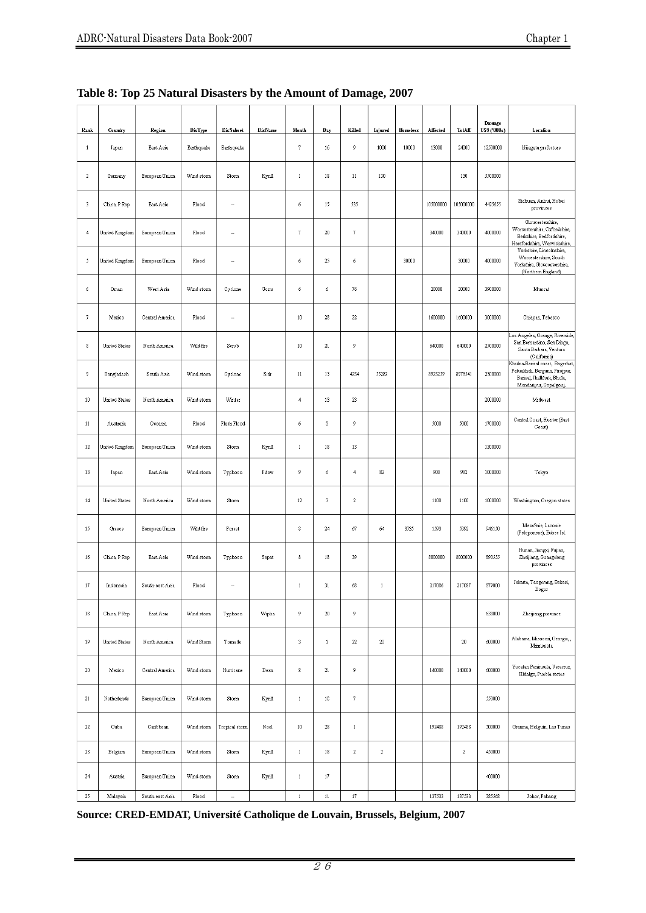|  |  |  | Table 8: Top 25 Natural Disasters by the Amount of Damage, 2007 |  |
|--|--|--|-----------------------------------------------------------------|--|
|  |  |  |                                                                 |  |

| Rank           | Country        | Region          | DisType    | <b>DisSubset</b> | DisName                  | Month            | Day           | Killed       | Injured      | Homeless | Affected  | TotAff     | Damage<br>US\$ ('000s) | Location                                                                                                                  |
|----------------|----------------|-----------------|------------|------------------|--------------------------|------------------|---------------|--------------|--------------|----------|-----------|------------|------------------------|---------------------------------------------------------------------------------------------------------------------------|
| $\mathbf{1}$   | Japan          | East Asia       | Earthquake | Earthquake       |                          | 7                | $16\,$        | 9            | 1000         | 10000    | 13000     | 24000      | 12500000               | Niiagata prefecture                                                                                                       |
| $\sqrt{2}$     | Germany        | European Union  | Wind storm | Storm            | Kyrill                   | $\mathbf 1$      | $1\!\!3$      | $11\,$       | 130          |          |           | 130        | 5500000                |                                                                                                                           |
| $\sqrt{3}$     | China, P Rep   | East Asia       | Flood      |                  |                          | 6                | 15            | 535          |              |          | 105000000 | 105000000  | 4425655                | Sichuan, Anhui, Hubei<br>provinces                                                                                        |
| $\overline{4}$ | United Kingdom | European Union  | Flood      |                  |                          | 7                | $20\,$        | 7            |              |          | 340000    | 340000     | 4000000                | Gloucestershire,<br>Worcestershire, Oxfordshire,<br>Berkshire, Bedfordshire,<br>Herefordshire, Warwickshire,              |
| 5              | United Kingdom | European Union  | Flood      |                  |                          | 6                | 25            | 6            |              | 30000    |           | 30000      | 4000000                | Yorkshire, Lincolnshire,<br>Worcestershire, South<br>Yorkshire, Gloucestershire,<br>(Northern England)                    |
| 6              | Oman           | West Asia       | Wind storm | Cyclone          | Gonu                     | 6                | 6             | 76           |              |          | 20000     | 20000      | 3900000                | Muscat                                                                                                                    |
| $\sqrt{7}$     | Mexico         | Central America | Flood      |                  |                          | $10\,$           | $2\!$         | $22\,$       |              |          | 1600000   | 1600000    | 3000000                | Chiapas, Tabasco                                                                                                          |
| 8              | United States  | North America   | Wild fire  | Scrub            |                          | $10\,$           | 21            | 9            |              |          | 640000    | 640000     | 2500000                | Los Angeles, Orange, Riverside,<br>San Bernardino, San Diego,<br>Santa Barbara, Ventura<br>(California)                   |
| 9              | Bangladesh     | South Asia      | Wind storm | Cyclone          | Sidr                     | 11               | 15            | 4234         | 55282        |          | 8923259   | 8978541    | 2300000                | Khulna-Barisal coast, Bagerhat,<br>Patuakhali, Barguna, Pirojpur,<br>Barisal, Jhalkhati, Bhola,<br>Mandaripur, Gopalgonj, |
| $10\,$         | United States  | North America   | Wind storm | Winter           |                          | $\overline{4}$   | 13            | 23           |              |          |           |            | 2000000                | Midwest                                                                                                                   |
| $11\,$         | Australia      | Oceania         | Flood      | Flash Flood      |                          | 6                | $\,$ 8        | 9            |              |          | 5000      | 5000       | 1700000                | Central Coast, Hunter (East<br>Coast)                                                                                     |
| $12\,$         | United Kingdom | European Union  | Wind storm | Storm            | Kyrill                   | $\mathbf 1$      | $1\,$         | 13           |              |          |           |            | 1200000                |                                                                                                                           |
| 13             | Japan          | East Asia       | Wind storm | Typhoon          | Fitow                    | 9                | 6             | 4            | 82           |          | 900       | 982        | 1000000                | Tokyo                                                                                                                     |
| 14             | United States  | North America   | Wind storm | Storm            |                          | $12\phantom{.0}$ | 3             | $\sqrt{2}$   |              |          | 1100      | 1100       | 1000000                | Washington, Oregon states                                                                                                 |
| 15             | Greece         | European Union  | Wild fire  | Forest           |                          | 8                | 24            | 67           | 64           | 3735     | 1593      | 5392       | 946150                 | Mess?nie, Laconie<br>(Peloponese), Eubee Isl.                                                                             |
| 16             | China, P Rep   | East Asia       | Wind storm | Typhoon          | Sepat                    | 8                | 18            | 39           |              |          | 8000000   | 8000000    | 890555                 | Hunan, Jiangxi, Fujian,<br>Zheijiang, Guangdong<br>provinces                                                              |
| $17\,$         | Indonesia      | South-east Asia | Flood      |                  |                          | $\mathbf 1$      | 31            | 68           | $\mathbf{1}$ |          | 217086    | 217087     | 879000                 | Jakarta, Tangerang, Bekasi,<br>Bogor                                                                                      |
| $1\!\,8$       | China, P Rep   | East Asia       | Wind storm | Typhoon          | Wipha                    | 9                | $20\,$        | 9            |              |          |           |            | 638000                 | Zheijiang province                                                                                                        |
| $19\,$         | United States  | North America   | Wind Storm | Tomado           |                          | 3                | $\,1\,$       | $22\,$       | 20           |          |           | 20         | 600000                 | Alabama, Missouri, Georgia, ,<br>Minnesota                                                                                |
| $20\,$         | Mexico         | Central America | Wind storm | Hurricane        | $\mathop{\mathsf{Dean}}$ | $\,$             | 21            | 9            |              |          | 140000    | 140000     | 600000                 | Yucatan Peninsula, Veracruz,<br>Hidalgo, Puebla states                                                                    |
| $21\,$         | Netherlands    | European Union  | Wind storm | Storm            | Kyrill                   | $\mathbf 1$      | 18            | $\sqrt{7}$   |              |          |           |            | 550000                 |                                                                                                                           |
| $22\,$         | Cuba           | Caribbean       | Wind storm | Tropical storm   | Noel                     | $10\,$           | $2\mathrm{8}$ | $\mathbf{1}$ |              |          | 192488    | 192488     | 500000                 | Granma, Holguin, Las Tunas                                                                                                |
| $23\,$         | Belgium        | European Union  | Wind storm | Storm            | Kyrill                   | $\mathbf 1$      | $1\!\!3$      | $\,2\,$      | $\mathbf 2$  |          |           | $\sqrt{2}$ | 450000                 |                                                                                                                           |
| 24             | Austria        | European Union  | Wind storm | Storm            | Kyrill                   | $\pmb{1}$        | $17\,$        |              |              |          |           |            | 400000                 |                                                                                                                           |
| 25             | Malaysia       | South-east Asia | Flood      |                  |                          | $\mathbf{1}$     | $11\,$        | $17\,$       |              |          | 137533    | 137533     | 385568                 | Johor, Pahang                                                                                                             |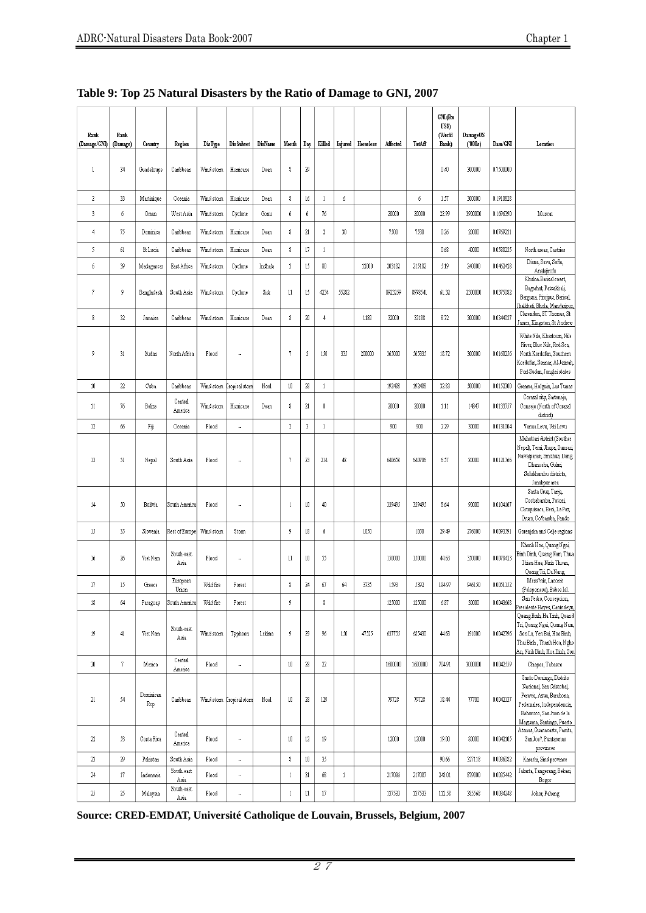| Rank<br>(Damage/GNI) | Rank<br>(Damage) | Country          | Region             | DisType    | <b>DisSubset</b>          | DisName | Month           | Day    | Killed         | Injured      | Homeless | Affected | TotAff  | GNI (Bn<br>US\$)<br>(World<br>Bank) | DamageUS<br>(000s) | Dam/GNI   | Location                                                                                                                                                              |
|----------------------|------------------|------------------|--------------------|------------|---------------------------|---------|-----------------|--------|----------------|--------------|----------|----------|---------|-------------------------------------|--------------------|-----------|-----------------------------------------------------------------------------------------------------------------------------------------------------------------------|
| 1                    | 34               | Guadeloupe       | Caribbean          | Wind storm | Humcane                   | Dean    | 8               | 29     |                |              |          |          |         | 0.40                                | 300000             | 0.7500000 |                                                                                                                                                                       |
| $\sqrt{2}$           | 33               | Martinique       | Oceania            | Wind storm | Humcane                   | Dean    | 8               | $16\,$ | 1              | 6            |          |          | 6       | 1.57                                | 300000             | 0.1910828 |                                                                                                                                                                       |
| 3                    | 6                | Oman             | West Asia          | Wind storm | Cyclone                   | Gonu    | 6               | 6      | $76\,$         |              |          | 20000    | 20000   | 22.99                               | 3900000            | 0.1696390 | Muscat                                                                                                                                                                |
| $\overline{4}$       | 75               | Dominica         | Caribbean          | Wind storm | Humcane                   | Dean    | 8               | 21     | $\sqrt{2}$     | 30           |          | 7500     | 7530    | 0.26                                | 20000              | 0.0769231 |                                                                                                                                                                       |
| 5                    | 61               | St Lucia         | Caribbean          | Wind storm | Humcane                   | Dean    | $\,$            | 17     | $\mathbf{1}$   |              |          |          |         | 0.68                                | 40000              | 0.0588235 | North areas, Castries                                                                                                                                                 |
| 6                    | 39               | Madagascar       | East Africa        | Wind storm | Cyclone                   | Indhala | 3               | 15     | $30\,$         |              | 12000    | 203182   | 215182  | 5.19                                | 240000             | 0.0462428 | Diana, Sava, Sofia,<br>Analajirofo                                                                                                                                    |
| $\overline{7}$       | 9                | Bangladesh       | South Asia         | Wind storm | Cyclone                   | Sidr    | $\overline{11}$ | 15     | 4234           | 55282        |          | 8923259  | 8978541 | 61.32                               | 2300000            | 0.0375082 | Khulna-Barisal coast,<br>Bagerhat, Patuakhali,<br>Barguna, Pirojpur, Barisal,<br>halkhati, Bhola, Mandaripur                                                          |
| 8                    | 32               | Jamaica          | Caribbean          | Wind storm | Humcane                   | Dean    | 8               | $20\,$ | $\overline{4}$ |              | 1188     | 32000    | 33188   | 8.72                                | 300000             | 0.0344037 | Clarendon, ST Thomas, St<br>James, Kingston, St Andrew                                                                                                                |
| 9                    | 31               | Sudan            | North Africa       | Flood      |                           |         | 7               | 3      | 150            | 335          | 200000   | 365000   | 565335  | 18.72                               | 300000             | 0.0160256 | White Nile, Khartoum, Nile<br>River, Blue Nile, Red Sea,<br>North Kordofan, Southern<br>Kordofan, Sennar, A1-Jazirah,<br>Port Sudan, Jonglei states                   |
| 10                   | $22\,$           | Cuba             | Caribbean          | Wind storm | Fropical storn            | Noel    | $10\,$          | $28\,$ | $\mathbf{1}$   |              |          | 192488   | 192488  | 32.83                               | 500000             | 0.0152300 | Granma, Holguin, Las Tunas                                                                                                                                            |
| 11                   | 76               | Belize           | Central<br>America | Wind storm | Humcane                   | Dean    | 8               | $21\,$ | $\mathbf 0$    |              |          | 20000    | 20000   | 1.11                                | 14847              | 0.0133757 | Corazal city, Sarteneja,<br>Consejo (North of Corazal<br>district)                                                                                                    |
| 12                   | 66               | Fiji             | Oceania            | Flood      |                           |         | $\sqrt{2}$      | 3      | $\mathbf{1}$   |              |          | 900      | 900     | 2.29                                | 30000              | 0.0131004 | Vanua Levu, Viti Levu                                                                                                                                                 |
| 13                   | 51               | Nepal            | South Asia         | Flood      | ٠.                        |         | 7               | 23     | 214            | 48           |          | 640658   | 640706  | 6.57                                | 80000              | 0.0121766 | Mahottari district (Souther<br>Nepal), Terai, Jhapa, Sunsari,<br>Nawalparasi, Sindhuli, Dang,<br>Dhanusha, Gulmi,<br>Solukhumbu districts,<br>Janakpur area           |
| 14                   | 50               | Bolivia          | South America      | Flood      |                           |         | $\mathbf{1}$    | 10     | 40             |              |          | 339495   | 339495  | 8.64                                | 90000              | 0.0104167 | Santa Cruz, Tarija,<br>Cochabamba, Potosi,<br>Chuquisaca, Beni, La Paz,<br>Oruro, Co/bamba, Pando                                                                     |
| 15                   | 35               | Slovenia         | Rest of Europe     | Wind storm | Stom                      |         | 9               | 18     | 6              |              | 1050     |          | 1050    | 29.49                               | 276000             | 0.0093591 | Gorenjska and Celje regions                                                                                                                                           |
| 16                   | 26               | Viet Nam         | South-east<br>Asia | Flood      |                           |         | 11              | 10     | 55             |              |          | 150000   | 150000  | 44.63                               | 350000             | 0.0078423 | Khanh Hoa, Quang Ngai,<br>Binh Dinh, Quang Nam, Thua<br>Thien-Hue, Ninh Thuan,<br>Quang Tri, Da Nang,                                                                 |
| 17                   | 15               | Greece           | European<br>Union  | Wild fire  | Forest                    |         | 8               | 24     | 67             | 64           | 3735     | 1593     | 5392    | 184.97                              | 946150             | 0.0051152 | Mess?nie, Laconie<br>(Peloponese), Eubee Isl.                                                                                                                         |
| 18                   | 64               | Paraguay         | South America      | Wild fire  | Forest                    |         | 9               |        | $\,$           |              |          | 125000   | 125000  | 6.87                                | 30000              | 0.0043668 | San Pedro, Concepcion,<br>Presidente Hayes, Canindeyu                                                                                                                 |
| 19                   | 41               | Viet Nam         | South-east<br>Asia | Wind storm | Typhoon                   | Lekima  | 9               | 29     | 96             | 150          | 47525    | 637755   | 685430  | 44.63                               | 191000             | 0.0042796 | Quang Binh, Ha Tinh, Quand<br>Tri, Quang Ngai, Quang Nam,<br>Son La, Yen Bai, Hoa Binh,<br>Thai Binh, Thanh Hoa, Nghe<br>An, Ninh Binh, Hoa Binh, Sor                 |
| $20\,$               | 7                | Mexico           | Central<br>America | Flood      |                           |         | $10\,$          | $28\,$ | $22\,$         |              |          | 1600000  | 1600000 | 704.91                              | 3000000            | 0.0042559 | Chiapas, Tabasco                                                                                                                                                      |
| $21\,$               | 54               | Dominican<br>Rep | Caribbean          |            | Wind storm Tropical storm | Noel    | $10\,$          | 28     | 129            |              |          | 79728    | 79728   | 18.44                               | 77700              | 0.0042137 | Santo Domingo, Distrito<br>Nacional, San Cristobal,<br>Peravia, Azua, Barahona,<br>Pedemales, Independencia,<br>Bahoruco, San Juan de la<br>Maguana, Santiago, Puerto |
| $22\,$               | 53               | Costa Rica       | Central<br>America | Flood      |                           |         | $10\,$          | $12\,$ | 19             |              |          | 12000    | 12000   | 19.00                               | 80000              | 0.0042105 | Atenas, Guanacaste, Parrita,<br>San Jos?, Puntarenas<br>provinces                                                                                                     |
| $23\,$               | $29\,$           | Pakistan         | South Asia         | Flood      | .,                        |         | $\,$            | $10\,$ | 35             |              |          |          |         | 90.66                               | 327118             | 0.0036082 | Karachi, Sind province                                                                                                                                                |
| $24\,$               | $17\,$           | Indonesia        | South-east<br>Asia | Flood      | ÷,                        |         | $\,1\,$         | 31     | 68             | $\mathbf{1}$ |          | 217086   | 217087  | 248.01                              | 879000             | 0.0035442 | Jakarta, Tangerang, Bekasi,<br>Bogor                                                                                                                                  |
| 25                   | $25\,$           | Malaysia         | South-east<br>Asia | Flood      |                           |         | $\mathbf{1}$    | 11     | $17\,$         |              |          | 137533   | 137533  | 112.58                              | 385568             | 0.0034248 | Johor, Pahang                                                                                                                                                         |

# **Table 9: Top 25 Natural Disasters by the Ratio of Damage to GNI, 2007**